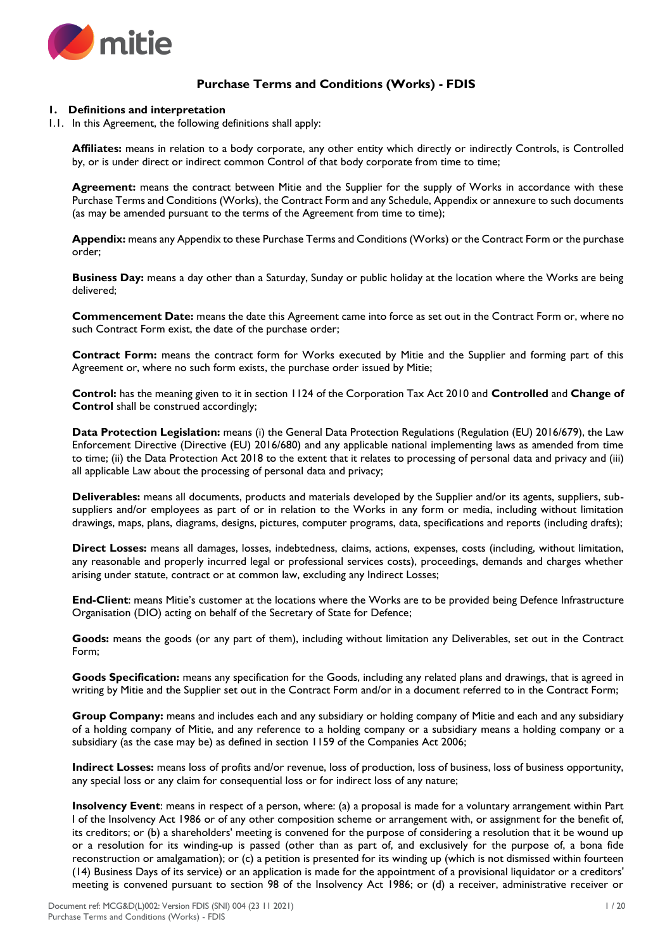

# **Purchase Terms and Conditions (Works) - FDIS**

## **1. Definitions and interpretation**

1.1. In this Agreement, the following definitions shall apply:

**Affiliates:** means in relation to a body corporate, any other entity which directly or indirectly Controls, is Controlled by, or is under direct or indirect common Control of that body corporate from time to time;

**Agreement:** means the contract between Mitie and the Supplier for the supply of Works in accordance with these Purchase Terms and Conditions (Works), the Contract Form and any Schedule, Appendix or annexure to such documents (as may be amended pursuant to the terms of the Agreement from time to time);

**Appendix:** means any Appendix to these Purchase Terms and Conditions (Works) or the Contract Form or the purchase order;

**Business Day:** means a day other than a Saturday, Sunday or public holiday at the location where the Works are being delivered;

**Commencement Date:** means the date this Agreement came into force as set out in the Contract Form or, where no such Contract Form exist, the date of the purchase order;

**Contract Form:** means the contract form for Works executed by Mitie and the Supplier and forming part of this Agreement or, where no such form exists, the purchase order issued by Mitie;

**Control:** has the meaning given to it in section 1124 of the Corporation Tax Act 2010 and **Controlled** and **Change of Control** shall be construed accordingly;

**Data Protection Legislation:** means (i) the General Data Protection Regulations (Regulation (EU) 2016/679), the Law Enforcement Directive (Directive (EU) 2016/680) and any applicable national implementing laws as amended from time to time; (ii) the Data Protection Act 2018 to the extent that it relates to processing of personal data and privacy and (iii) all applicable Law about the processing of personal data and privacy;

**Deliverables:** means all documents, products and materials developed by the Supplier and/or its agents, suppliers, subsuppliers and/or employees as part of or in relation to the Works in any form or media, including without limitation drawings, maps, plans, diagrams, designs, pictures, computer programs, data, specifications and reports (including drafts);

**Direct Losses:** means all damages, losses, indebtedness, claims, actions, expenses, costs (including, without limitation, any reasonable and properly incurred legal or professional services costs), proceedings, demands and charges whether arising under statute, contract or at common law, excluding any Indirect Losses;

**End-Client**: means Mitie's customer at the locations where the Works are to be provided being Defence Infrastructure Organisation (DIO) acting on behalf of the Secretary of State for Defence;

**Goods:** means the goods (or any part of them), including without limitation any Deliverables, set out in the Contract Form;

**Goods Specification:** means any specification for the Goods, including any related plans and drawings, that is agreed in writing by Mitie and the Supplier set out in the Contract Form and/or in a document referred to in the Contract Form;

**Group Company:** means and includes each and any subsidiary or holding company of Mitie and each and any subsidiary of a holding company of Mitie, and any reference to a holding company or a subsidiary means a holding company or a subsidiary (as the case may be) as defined in section 1159 of the Companies Act 2006;

**Indirect Losses:** means loss of profits and/or revenue, loss of production, loss of business, loss of business opportunity, any special loss or any claim for consequential loss or for indirect loss of any nature;

**Insolvency Event**: means in respect of a person, where: (a) a proposal is made for a voluntary arrangement within Part I of the Insolvency Act 1986 or of any other composition scheme or arrangement with, or assignment for the benefit of, its creditors; or (b) a shareholders' meeting is convened for the purpose of considering a resolution that it be wound up or a resolution for its winding-up is passed (other than as part of, and exclusively for the purpose of, a bona fide reconstruction or amalgamation); or (c) a petition is presented for its winding up (which is not dismissed within fourteen (14) Business Days of its service) or an application is made for the appointment of a provisional liquidator or a creditors' meeting is convened pursuant to section 98 of the Insolvency Act 1986; or (d) a receiver, administrative receiver or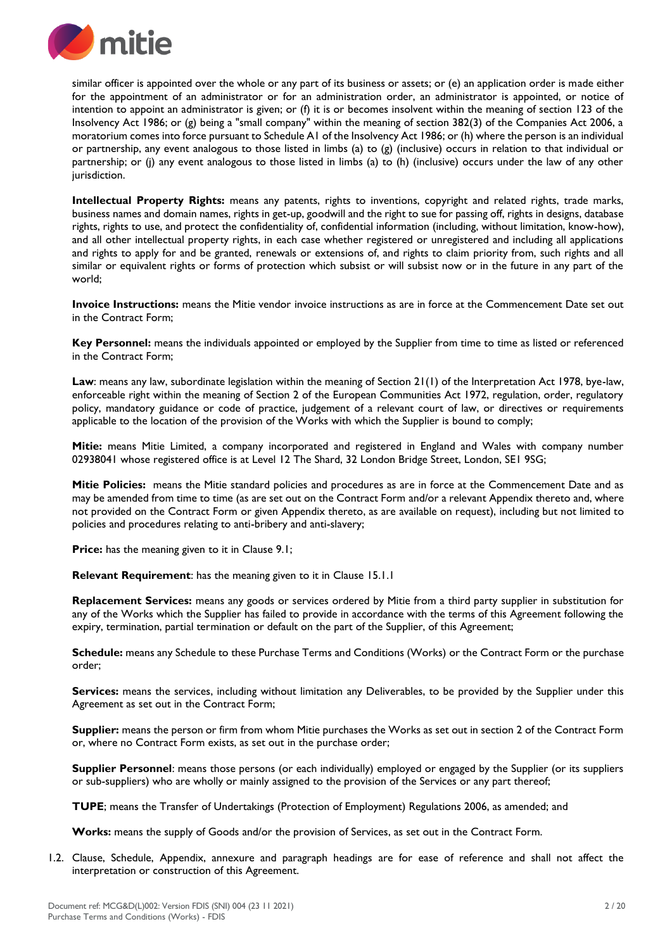

similar officer is appointed over the whole or any part of its business or assets; or (e) an application order is made either for the appointment of an administrator or for an administration order, an administrator is appointed, or notice of intention to appoint an administrator is given; or (f) it is or becomes insolvent within the meaning of section 123 of the Insolvency Act 1986; or (g) being a "small company" within the meaning of section 382(3) of the Companies Act 2006, a moratorium comes into force pursuant to Schedule A1 of the Insolvency Act 1986; or (h) where the person is an individual or partnership, any event analogous to those listed in limbs (a) to (g) (inclusive) occurs in relation to that individual or partnership; or (j) any event analogous to those listed in limbs (a) to (h) (inclusive) occurs under the law of any other jurisdiction.

**Intellectual Property Rights:** means any patents, rights to inventions, copyright and related rights, trade marks, business names and domain names, rights in get-up, goodwill and the right to sue for passing off, rights in designs, database rights, rights to use, and protect the confidentiality of, confidential information (including, without limitation, know-how), and all other intellectual property rights, in each case whether registered or unregistered and including all applications and rights to apply for and be granted, renewals or extensions of, and rights to claim priority from, such rights and all similar or equivalent rights or forms of protection which subsist or will subsist now or in the future in any part of the world;

**Invoice Instructions:** means the Mitie vendor invoice instructions as are in force at the Commencement Date set out in the Contract Form;

**Key Personnel:** means the individuals appointed or employed by the Supplier from time to time as listed or referenced in the Contract Form;

**Law**: means any law, subordinate legislation within the meaning of Section 21(1) of the Interpretation Act 1978, bye-law, enforceable right within the meaning of Section 2 of the European Communities Act 1972, regulation, order, regulatory policy, mandatory guidance or code of practice, judgement of a relevant court of law, or directives or requirements applicable to the location of the provision of the Works with which the Supplier is bound to comply;

**Mitie:** means Mitie Limited, a company incorporated and registered in England and Wales with company number 02938041 whose registered office is at Level 12 The Shard, 32 London Bridge Street, London, SE1 9SG;

**Mitie Policies:** means the Mitie standard policies and procedures as are in force at the Commencement Date and as may be amended from time to time (as are set out on the Contract Form and/or a relevant Appendix thereto and, where not provided on the Contract Form or given Appendix thereto, as are available on request), including but not limited to policies and procedures relating to anti-bribery and anti-slavery;

**Price:** has the meaning given to it in Clause 9.1;

**Relevant Requirement:** has the meaning given to it in Clause 15.1.1

**Replacement Services:** means any goods or services ordered by Mitie from a third party supplier in substitution for any of the Works which the Supplier has failed to provide in accordance with the terms of this Agreement following the expiry, termination, partial termination or default on the part of the Supplier, of this Agreement;

**Schedule:** means any Schedule to these Purchase Terms and Conditions (Works) or the Contract Form or the purchase order;

**Services:** means the services, including without limitation any Deliverables, to be provided by the Supplier under this Agreement as set out in the Contract Form;

**Supplier:** means the person or firm from whom Mitie purchases the Works as set out in section 2 of the Contract Form or, where no Contract Form exists, as set out in the purchase order;

**Supplier Personnel**: means those persons (or each individually) employed or engaged by the Supplier (or its suppliers or sub-suppliers) who are wholly or mainly assigned to the provision of the Services or any part thereof;

**TUPE**; means the Transfer of Undertakings (Protection of Employment) Regulations 2006, as amended; and

**Works:** means the supply of Goods and/or the provision of Services, as set out in the Contract Form.

1.2. Clause, Schedule, Appendix, annexure and paragraph headings are for ease of reference and shall not affect the interpretation or construction of this Agreement.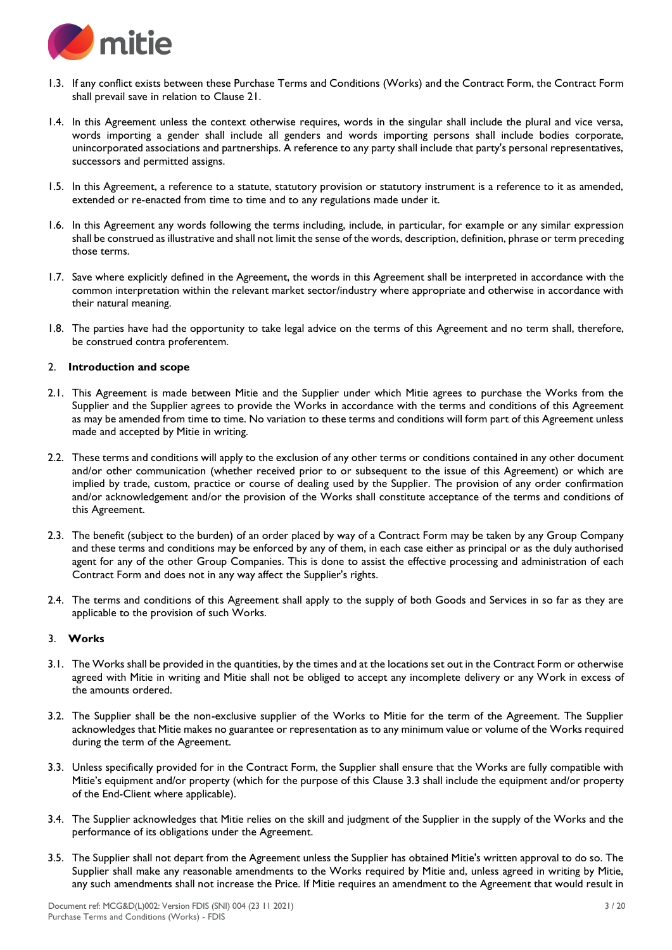

- 1.3. If any conflict exists between these Purchase Terms and Conditions (Works) and the Contract Form, the Contract Form shall prevail save in relation to Clause 21.
- 1.4. In this Agreement unless the context otherwise requires, words in the singular shall include the plural and vice versa, words importing a gender shall include all genders and words importing persons shall include bodies corporate, unincorporated associations and partnerships. A reference to any party shall include that party's personal representatives, successors and permitted assigns.
- 1.5. In this Agreement, a reference to a statute, statutory provision or statutory instrument is a reference to it as amended, extended or re-enacted from time to time and to any regulations made under it.
- 1.6. In this Agreement any words following the terms including, include, in particular, for example or any similar expression shall be construed as illustrative and shall not limit the sense of the words, description, definition, phrase or term preceding those terms.
- 1.7. Save where explicitly defined in the Agreement, the words in this Agreement shall be interpreted in accordance with the common interpretation within the relevant market sector/industry where appropriate and otherwise in accordance with their natural meaning.
- 1.8. The parties have had the opportunity to take legal advice on the terms of this Agreement and no term shall, therefore, be construed contra proferentem.

## 2. **Introduction and scope**

- 2.1. This Agreement is made between Mitie and the Supplier under which Mitie agrees to purchase the Works from the Supplier and the Supplier agrees to provide the Works in accordance with the terms and conditions of this Agreement as may be amended from time to time. No variation to these terms and conditions will form part of this Agreement unless made and accepted by Mitie in writing.
- 2.2. These terms and conditions will apply to the exclusion of any other terms or conditions contained in any other document and/or other communication (whether received prior to or subsequent to the issue of this Agreement) or which are implied by trade, custom, practice or course of dealing used by the Supplier. The provision of any order confirmation and/or acknowledgement and/or the provision of the Works shall constitute acceptance of the terms and conditions of this Agreement.
- 2.3. The benefit (subject to the burden) of an order placed by way of a Contract Form may be taken by any Group Company and these terms and conditions may be enforced by any of them, in each case either as principal or as the duly authorised agent for any of the other Group Companies. This is done to assist the effective processing and administration of each Contract Form and does not in any way affect the Supplier's rights.
- 2.4. The terms and conditions of this Agreement shall apply to the supply of both Goods and Services in so far as they are applicable to the provision of such Works.

## 3. **Works**

- 3.1. The Works shall be provided in the quantities, by the times and at the locations set out in the Contract Form or otherwise agreed with Mitie in writing and Mitie shall not be obliged to accept any incomplete delivery or any Work in excess of the amounts ordered.
- 3.2. The Supplier shall be the non-exclusive supplier of the Works to Mitie for the term of the Agreement. The Supplier acknowledges that Mitie makes no guarantee or representation as to any minimum value or volume of the Works required during the term of the Agreement.
- 3.3. Unless specifically provided for in the Contract Form, the Supplier shall ensure that the Works are fully compatible with Mitie's equipment and/or property (which for the purpose of this Clause 3.3 shall include the equipment and/or property of the End-Client where applicable).
- 3.4. The Supplier acknowledges that Mitie relies on the skill and judgment of the Supplier in the supply of the Works and the performance of its obligations under the Agreement.
- 3.5. The Supplier shall not depart from the Agreement unless the Supplier has obtained Mitie's written approval to do so. The Supplier shall make any reasonable amendments to the Works required by Mitie and, unless agreed in writing by Mitie, any such amendments shall not increase the Price. If Mitie requires an amendment to the Agreement that would result in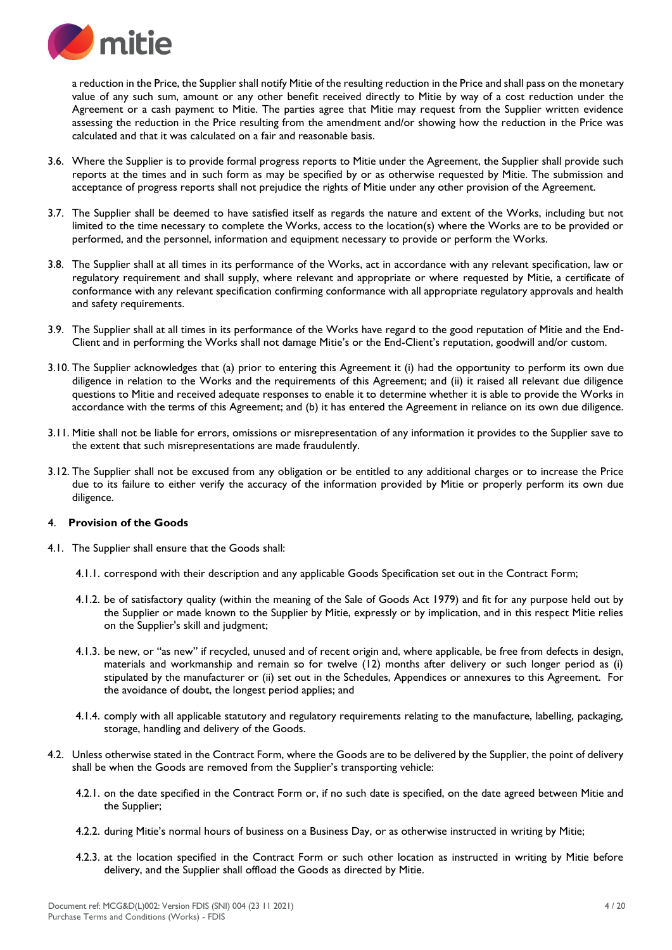

a reduction in the Price, the Supplier shall notify Mitie of the resulting reduction in the Price and shall pass on the monetary value of any such sum, amount or any other benefit received directly to Mitie by way of a cost reduction under the Agreement or a cash payment to Mitie. The parties agree that Mitie may request from the Supplier written evidence assessing the reduction in the Price resulting from the amendment and/or showing how the reduction in the Price was calculated and that it was calculated on a fair and reasonable basis.

- 3.6. Where the Supplier is to provide formal progress reports to Mitie under the Agreement, the Supplier shall provide such reports at the times and in such form as may be specified by or as otherwise requested by Mitie. The submission and acceptance of progress reports shall not prejudice the rights of Mitie under any other provision of the Agreement.
- 3.7. The Supplier shall be deemed to have satisfied itself as regards the nature and extent of the Works, including but not limited to the time necessary to complete the Works, access to the location(s) where the Works are to be provided or performed, and the personnel, information and equipment necessary to provide or perform the Works.
- 3.8. The Supplier shall at all times in its performance of the Works, act in accordance with any relevant specification, law or regulatory requirement and shall supply, where relevant and appropriate or where requested by Mitie, a certificate of conformance with any relevant specification confirming conformance with all appropriate regulatory approvals and health and safety requirements.
- 3.9. The Supplier shall at all times in its performance of the Works have regard to the good reputation of Mitie and the End-Client and in performing the Works shall not damage Mitie's or the End-Client's reputation, goodwill and/or custom.
- 3.10. The Supplier acknowledges that (a) prior to entering this Agreement it (i) had the opportunity to perform its own due diligence in relation to the Works and the requirements of this Agreement; and (ii) it raised all relevant due diligence questions to Mitie and received adequate responses to enable it to determine whether it is able to provide the Works in accordance with the terms of this Agreement; and (b) it has entered the Agreement in reliance on its own due diligence.
- 3.11. Mitie shall not be liable for errors, omissions or misrepresentation of any information it provides to the Supplier save to the extent that such misrepresentations are made fraudulently.
- 3.12. The Supplier shall not be excused from any obligation or be entitled to any additional charges or to increase the Price due to its failure to either verify the accuracy of the information provided by Mitie or properly perform its own due diligence.

## 4. **Provision of the Goods**

- 4.1. The Supplier shall ensure that the Goods shall:
	- 4.1.1. correspond with their description and any applicable Goods Specification set out in the Contract Form;
	- 4.1.2. be of satisfactory quality (within the meaning of the Sale of Goods Act 1979) and fit for any purpose held out by the Supplier or made known to the Supplier by Mitie, expressly or by implication, and in this respect Mitie relies on the Supplier's skill and judgment;
	- 4.1.3. be new, or "as new" if recycled, unused and of recent origin and, where applicable, be free from defects in design, materials and workmanship and remain so for twelve (12) months after delivery or such longer period as (i) stipulated by the manufacturer or (ii) set out in the Schedules, Appendices or annexures to this Agreement. For the avoidance of doubt, the longest period applies; and
	- 4.1.4. comply with all applicable statutory and regulatory requirements relating to the manufacture, labelling, packaging, storage, handling and delivery of the Goods.
- 4.2. Unless otherwise stated in the Contract Form, where the Goods are to be delivered by the Supplier, the point of delivery shall be when the Goods are removed from the Supplier's transporting vehicle:
	- 4.2.1. on the date specified in the Contract Form or, if no such date is specified, on the date agreed between Mitie and the Supplier;
	- 4.2.2. during Mitie's normal hours of business on a Business Day, or as otherwise instructed in writing by Mitie;
	- 4.2.3. at the location specified in the Contract Form or such other location as instructed in writing by Mitie before delivery, and the Supplier shall offload the Goods as directed by Mitie.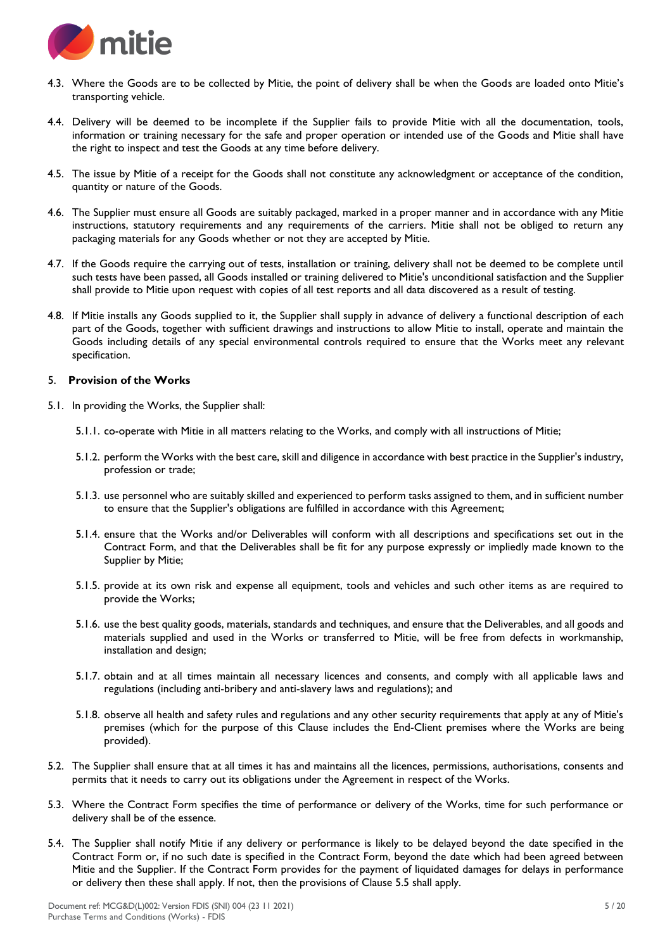

- 4.3. Where the Goods are to be collected by Mitie, the point of delivery shall be when the Goods are loaded onto Mitie's transporting vehicle.
- 4.4. Delivery will be deemed to be incomplete if the Supplier fails to provide Mitie with all the documentation, tools, information or training necessary for the safe and proper operation or intended use of the Goods and Mitie shall have the right to inspect and test the Goods at any time before delivery.
- 4.5. The issue by Mitie of a receipt for the Goods shall not constitute any acknowledgment or acceptance of the condition, quantity or nature of the Goods.
- 4.6. The Supplier must ensure all Goods are suitably packaged, marked in a proper manner and in accordance with any Mitie instructions, statutory requirements and any requirements of the carriers. Mitie shall not be obliged to return any packaging materials for any Goods whether or not they are accepted by Mitie.
- 4.7. If the Goods require the carrying out of tests, installation or training, delivery shall not be deemed to be complete until such tests have been passed, all Goods installed or training delivered to Mitie's unconditional satisfaction and the Supplier shall provide to Mitie upon request with copies of all test reports and all data discovered as a result of testing.
- 4.8. If Mitie installs any Goods supplied to it, the Supplier shall supply in advance of delivery a functional description of each part of the Goods, together with sufficient drawings and instructions to allow Mitie to install, operate and maintain the Goods including details of any special environmental controls required to ensure that the Works meet any relevant specification.

## 5. **Provision of the Works**

- 5.1. In providing the Works, the Supplier shall:
	- 5.1.1. co-operate with Mitie in all matters relating to the Works, and comply with all instructions of Mitie;
	- 5.1.2. perform the Works with the best care, skill and diligence in accordance with best practice in the Supplier's industry, profession or trade;
	- 5.1.3. use personnel who are suitably skilled and experienced to perform tasks assigned to them, and in sufficient number to ensure that the Supplier's obligations are fulfilled in accordance with this Agreement;
	- 5.1.4. ensure that the Works and/or Deliverables will conform with all descriptions and specifications set out in the Contract Form, and that the Deliverables shall be fit for any purpose expressly or impliedly made known to the Supplier by Mitie;
	- 5.1.5. provide at its own risk and expense all equipment, tools and vehicles and such other items as are required to provide the Works;
	- 5.1.6. use the best quality goods, materials, standards and techniques, and ensure that the Deliverables, and all goods and materials supplied and used in the Works or transferred to Mitie, will be free from defects in workmanship, installation and design;
	- 5.1.7. obtain and at all times maintain all necessary licences and consents, and comply with all applicable laws and regulations (including anti-bribery and anti-slavery laws and regulations); and
	- 5.1.8. observe all health and safety rules and regulations and any other security requirements that apply at any of Mitie's premises (which for the purpose of this Clause includes the End-Client premises where the Works are being provided).
- 5.2. The Supplier shall ensure that at all times it has and maintains all the licences, permissions, authorisations, consents and permits that it needs to carry out its obligations under the Agreement in respect of the Works.
- 5.3. Where the Contract Form specifies the time of performance or delivery of the Works, time for such performance or delivery shall be of the essence.
- 5.4. The Supplier shall notify Mitie if any delivery or performance is likely to be delayed beyond the date specified in the Contract Form or, if no such date is specified in the Contract Form, beyond the date which had been agreed between Mitie and the Supplier. If the Contract Form provides for the payment of liquidated damages for delays in performance or delivery then these shall apply. If not, then the provisions of Clause 5.5 shall apply.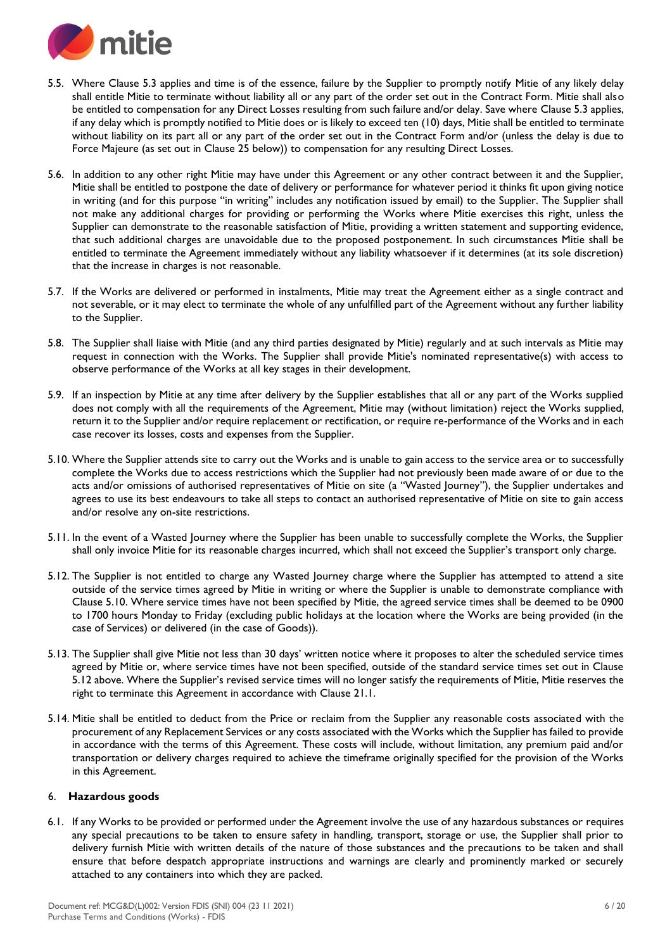

- 5.5. Where Clause 5.3 applies and time is of the essence, failure by the Supplier to promptly notify Mitie of any likely delay shall entitle Mitie to terminate without liability all or any part of the order set out in the Contract Form. Mitie shall also be entitled to compensation for any Direct Losses resulting from such failure and/or delay. Save where Clause 5.3 applies, if any delay which is promptly notified to Mitie does or is likely to exceed ten (10) days, Mitie shall be entitled to terminate without liability on its part all or any part of the order set out in the Contract Form and/or (unless the delay is due to Force Majeure (as set out in Clause 25 below)) to compensation for any resulting Direct Losses.
- 5.6. In addition to any other right Mitie may have under this Agreement or any other contract between it and the Supplier, Mitie shall be entitled to postpone the date of delivery or performance for whatever period it thinks fit upon giving notice in writing (and for this purpose "in writing" includes any notification issued by email) to the Supplier. The Supplier shall not make any additional charges for providing or performing the Works where Mitie exercises this right, unless the Supplier can demonstrate to the reasonable satisfaction of Mitie, providing a written statement and supporting evidence, that such additional charges are unavoidable due to the proposed postponement. In such circumstances Mitie shall be entitled to terminate the Agreement immediately without any liability whatsoever if it determines (at its sole discretion) that the increase in charges is not reasonable.
- 5.7. If the Works are delivered or performed in instalments, Mitie may treat the Agreement either as a single contract and not severable, or it may elect to terminate the whole of any unfulfilled part of the Agreement without any further liability to the Supplier.
- 5.8. The Supplier shall liaise with Mitie (and any third parties designated by Mitie) regularly and at such intervals as Mitie may request in connection with the Works. The Supplier shall provide Mitie's nominated representative(s) with access to observe performance of the Works at all key stages in their development.
- 5.9. If an inspection by Mitie at any time after delivery by the Supplier establishes that all or any part of the Works supplied does not comply with all the requirements of the Agreement, Mitie may (without limitation) reject the Works supplied, return it to the Supplier and/or require replacement or rectification, or require re-performance of the Works and in each case recover its losses, costs and expenses from the Supplier.
- 5.10. Where the Supplier attends site to carry out the Works and is unable to gain access to the service area or to successfully complete the Works due to access restrictions which the Supplier had not previously been made aware of or due to the acts and/or omissions of authorised representatives of Mitie on site (a "Wasted Journey"), the Supplier undertakes and agrees to use its best endeavours to take all steps to contact an authorised representative of Mitie on site to gain access and/or resolve any on-site restrictions.
- 5.11. In the event of a Wasted Journey where the Supplier has been unable to successfully complete the Works, the Supplier shall only invoice Mitie for its reasonable charges incurred, which shall not exceed the Supplier's transport only charge.
- 5.12. The Supplier is not entitled to charge any Wasted Journey charge where the Supplier has attempted to attend a site outside of the service times agreed by Mitie in writing or where the Supplier is unable to demonstrate compliance with Clause 5.10. Where service times have not been specified by Mitie, the agreed service times shall be deemed to be 0900 to 1700 hours Monday to Friday (excluding public holidays at the location where the Works are being provided (in the case of Services) or delivered (in the case of Goods)).
- 5.13. The Supplier shall give Mitie not less than 30 days' written notice where it proposes to alter the scheduled service times agreed by Mitie or, where service times have not been specified, outside of the standard service times set out in Clause 5.12 above. Where the Supplier's revised service times will no longer satisfy the requirements of Mitie, Mitie reserves the right to terminate this Agreement in accordance with Clause 21.1.
- 5.14. Mitie shall be entitled to deduct from the Price or reclaim from the Supplier any reasonable costs associated with the procurement of any Replacement Services or any costs associated with the Works which the Supplier has failed to provide in accordance with the terms of this Agreement. These costs will include, without limitation, any premium paid and/or transportation or delivery charges required to achieve the timeframe originally specified for the provision of the Works in this Agreement.

## 6. **Hazardous goods**

6.1. If any Works to be provided or performed under the Agreement involve the use of any hazardous substances or requires any special precautions to be taken to ensure safety in handling, transport, storage or use, the Supplier shall prior to delivery furnish Mitie with written details of the nature of those substances and the precautions to be taken and shall ensure that before despatch appropriate instructions and warnings are clearly and prominently marked or securely attached to any containers into which they are packed.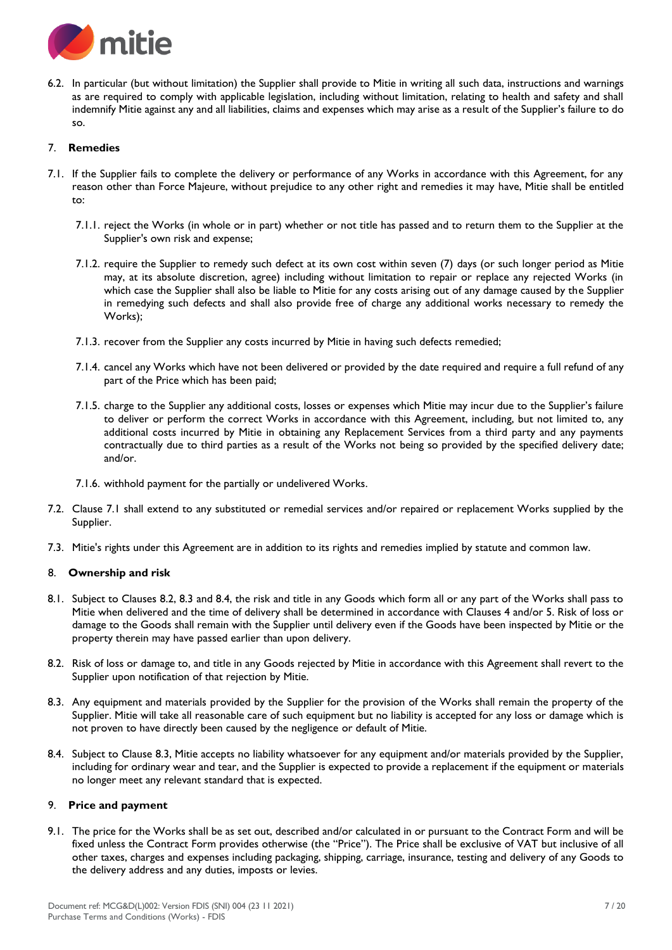

6.2. In particular (but without limitation) the Supplier shall provide to Mitie in writing all such data, instructions and warnings as are required to comply with applicable legislation, including without limitation, relating to health and safety and shall indemnify Mitie against any and all liabilities, claims and expenses which may arise as a result of the Supplier's failure to do so.

# 7. **Remedies**

- 7.1. If the Supplier fails to complete the delivery or performance of any Works in accordance with this Agreement, for any reason other than Force Majeure, without prejudice to any other right and remedies it may have, Mitie shall be entitled to:
	- 7.1.1. reject the Works (in whole or in part) whether or not title has passed and to return them to the Supplier at the Supplier's own risk and expense;
	- 7.1.2. require the Supplier to remedy such defect at its own cost within seven (7) days (or such longer period as Mitie may, at its absolute discretion, agree) including without limitation to repair or replace any rejected Works (in which case the Supplier shall also be liable to Mitie for any costs arising out of any damage caused by the Supplier in remedying such defects and shall also provide free of charge any additional works necessary to remedy the Works);
	- 7.1.3. recover from the Supplier any costs incurred by Mitie in having such defects remedied;
	- 7.1.4. cancel any Works which have not been delivered or provided by the date required and require a full refund of any part of the Price which has been paid;
	- 7.1.5. charge to the Supplier any additional costs, losses or expenses which Mitie may incur due to the Supplier's failure to deliver or perform the correct Works in accordance with this Agreement, including, but not limited to, any additional costs incurred by Mitie in obtaining any Replacement Services from a third party and any payments contractually due to third parties as a result of the Works not being so provided by the specified delivery date; and/or.
	- 7.1.6. withhold payment for the partially or undelivered Works.
- 7.2. Clause 7.1 shall extend to any substituted or remedial services and/or repaired or replacement Works supplied by the Supplier.
- 7.3. Mitie's rights under this Agreement are in addition to its rights and remedies implied by statute and common law.

## 8. **Ownership and risk**

- 8.1. Subject to Clauses 8.2, 8.3 and 8.4, the risk and title in any Goods which form all or any part of the Works shall pass to Mitie when delivered and the time of delivery shall be determined in accordance with Clauses 4 and/or 5. Risk of loss or damage to the Goods shall remain with the Supplier until delivery even if the Goods have been inspected by Mitie or the property therein may have passed earlier than upon delivery.
- 8.2. Risk of loss or damage to, and title in any Goods rejected by Mitie in accordance with this Agreement shall revert to the Supplier upon notification of that rejection by Mitie.
- 8.3. Any equipment and materials provided by the Supplier for the provision of the Works shall remain the property of the Supplier. Mitie will take all reasonable care of such equipment but no liability is accepted for any loss or damage which is not proven to have directly been caused by the negligence or default of Mitie.
- 8.4. Subject to Clause 8.3, Mitie accepts no liability whatsoever for any equipment and/or materials provided by the Supplier, including for ordinary wear and tear, and the Supplier is expected to provide a replacement if the equipment or materials no longer meet any relevant standard that is expected.

## 9. **Price and payment**

9.1. The price for the Works shall be as set out, described and/or calculated in or pursuant to the Contract Form and will be fixed unless the Contract Form provides otherwise (the "Price"). The Price shall be exclusive of VAT but inclusive of all other taxes, charges and expenses including packaging, shipping, carriage, insurance, testing and delivery of any Goods to the delivery address and any duties, imposts or levies.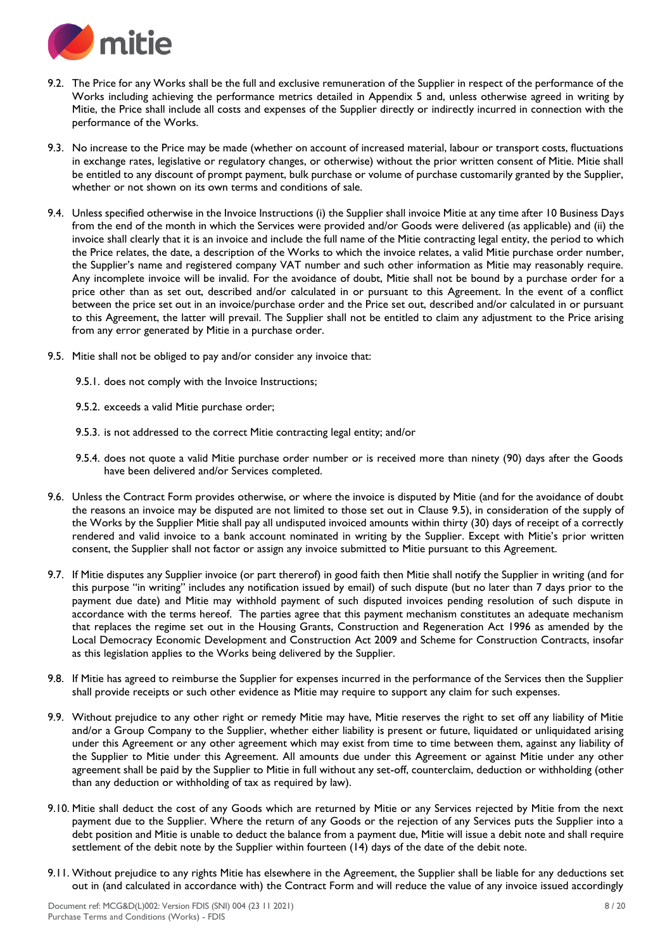

- 9.2. The Price for any Works shall be the full and exclusive remuneration of the Supplier in respect of the performance of the Works including achieving the performance metrics detailed in Appendix 5 and, unless otherwise agreed in writing by Mitie, the Price shall include all costs and expenses of the Supplier directly or indirectly incurred in connection with the performance of the Works.
- 9.3. No increase to the Price may be made (whether on account of increased material, labour or transport costs, fluctuations in exchange rates, legislative or regulatory changes, or otherwise) without the prior written consent of Mitie. Mitie shall be entitled to any discount of prompt payment, bulk purchase or volume of purchase customarily granted by the Supplier, whether or not shown on its own terms and conditions of sale.
- 9.4. Unless specified otherwise in the Invoice Instructions (i) the Supplier shall invoice Mitie at any time after 10 Business Days from the end of the month in which the Services were provided and/or Goods were delivered (as applicable) and (ii) the invoice shall clearly that it is an invoice and include the full name of the Mitie contracting legal entity, the period to which the Price relates, the date, a description of the Works to which the invoice relates, a valid Mitie purchase order number, the Supplier's name and registered company VAT number and such other information as Mitie may reasonably require. Any incomplete invoice will be invalid. For the avoidance of doubt, Mitie shall not be bound by a purchase order for a price other than as set out, described and/or calculated in or pursuant to this Agreement. In the event of a conflict between the price set out in an invoice/purchase order and the Price set out, described and/or calculated in or pursuant to this Agreement, the latter will prevail. The Supplier shall not be entitled to claim any adjustment to the Price arising from any error generated by Mitie in a purchase order.
- 9.5. Mitie shall not be obliged to pay and/or consider any invoice that:

9.5.1. does not comply with the Invoice Instructions;

9.5.2. exceeds a valid Mitie purchase order;

- 9.5.3. is not addressed to the correct Mitie contracting legal entity; and/or
- 9.5.4. does not quote a valid Mitie purchase order number or is received more than ninety (90) days after the Goods have been delivered and/or Services completed.
- 9.6. Unless the Contract Form provides otherwise, or where the invoice is disputed by Mitie (and for the avoidance of doubt the reasons an invoice may be disputed are not limited to those set out in Clause 9.5), in consideration of the supply of the Works by the Supplier Mitie shall pay all undisputed invoiced amounts within thirty (30) days of receipt of a correctly rendered and valid invoice to a bank account nominated in writing by the Supplier. Except with Mitie's prior written consent, the Supplier shall not factor or assign any invoice submitted to Mitie pursuant to this Agreement.
- 9.7. If Mitie disputes any Supplier invoice (or part thererof) in good faith then Mitie shall notify the Supplier in writing (and for this purpose "in writing" includes any notification issued by email) of such dispute (but no later than 7 days prior to the payment due date) and Mitie may withhold payment of such disputed invoices pending resolution of such dispute in accordance with the terms hereof. The parties agree that this payment mechanism constitutes an adequate mechanism that replaces the regime set out in the Housing Grants, Construction and Regeneration Act 1996 as amended by the Local Democracy Economic Development and Construction Act 2009 and Scheme for Construction Contracts, insofar as this legislation applies to the Works being delivered by the Supplier.
- 9.8. If Mitie has agreed to reimburse the Supplier for expenses incurred in the performance of the Services then the Supplier shall provide receipts or such other evidence as Mitie may require to support any claim for such expenses.
- 9.9. Without prejudice to any other right or remedy Mitie may have, Mitie reserves the right to set off any liability of Mitie and/or a Group Company to the Supplier, whether either liability is present or future, liquidated or unliquidated arising under this Agreement or any other agreement which may exist from time to time between them, against any liability of the Supplier to Mitie under this Agreement. All amounts due under this Agreement or against Mitie under any other agreement shall be paid by the Supplier to Mitie in full without any set-off, counterclaim, deduction or withholding (other than any deduction or withholding of tax as required by law).
- 9.10. Mitie shall deduct the cost of any Goods which are returned by Mitie or any Services rejected by Mitie from the next payment due to the Supplier. Where the return of any Goods or the rejection of any Services puts the Supplier into a debt position and Mitie is unable to deduct the balance from a payment due, Mitie will issue a debit note and shall require settlement of the debit note by the Supplier within fourteen (14) days of the date of the debit note.
- 9.11. Without prejudice to any rights Mitie has elsewhere in the Agreement, the Supplier shall be liable for any deductions set out in (and calculated in accordance with) the Contract Form and will reduce the value of any invoice issued accordingly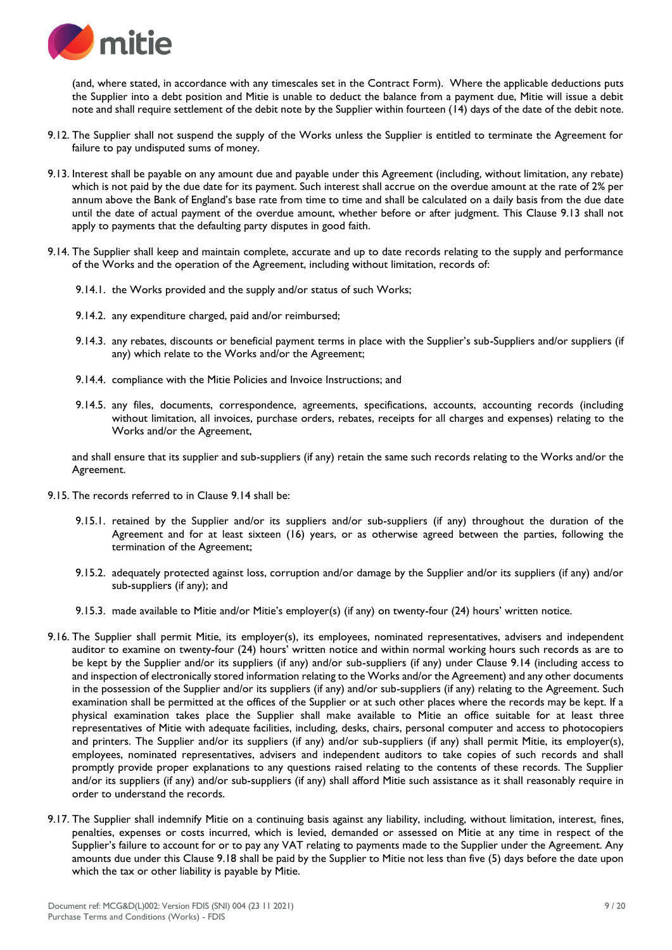

(and, where stated, in accordance with any timescales set in the Contract Form). Where the applicable deductions puts the Supplier into a debt position and Mitie is unable to deduct the balance from a payment due, Mitie will issue a debit note and shall require settlement of the debit note by the Supplier within fourteen (14) days of the date of the debit note.

- 9.12. The Supplier shall not suspend the supply of the Works unless the Supplier is entitled to terminate the Agreement for failure to pay undisputed sums of money.
- 9.13. Interest shall be payable on any amount due and payable under this Agreement (including, without limitation, any rebate) which is not paid by the due date for its payment. Such interest shall accrue on the overdue amount at the rate of 2% per annum above the Bank of England's base rate from time to time and shall be calculated on a daily basis from the due date until the date of actual payment of the overdue amount, whether before or after judgment. This Clause 9.13 shall not apply to payments that the defaulting party disputes in good faith.
- 9.14. The Supplier shall keep and maintain complete, accurate and up to date records relating to the supply and performance of the Works and the operation of the Agreement, including without limitation, records of:
	- 9.14.1. the Works provided and the supply and/or status of such Works;
	- 9.14.2. any expenditure charged, paid and/or reimbursed;
	- 9.14.3. any rebates, discounts or beneficial payment terms in place with the Supplier's sub-Suppliers and/or suppliers (if any) which relate to the Works and/or the Agreement;
	- 9.14.4. compliance with the Mitie Policies and Invoice Instructions; and
	- 9.14.5. any files, documents, correspondence, agreements, specifications, accounts, accounting records (including without limitation, all invoices, purchase orders, rebates, receipts for all charges and expenses) relating to the Works and/or the Agreement,

and shall ensure that its supplier and sub-suppliers (if any) retain the same such records relating to the Works and/or the Agreement.

- 9.15. The records referred to in Clause 9.14 shall be:
	- 9.15.1. retained by the Supplier and/or its suppliers and/or sub-suppliers (if any) throughout the duration of the Agreement and for at least sixteen (16) years, or as otherwise agreed between the parties, following the termination of the Agreement;
	- 9.15.2. adequately protected against loss, corruption and/or damage by the Supplier and/or its suppliers (if any) and/or sub-suppliers (if any); and
	- 9.15.3. made available to Mitie and/or Mitie's employer(s) (if any) on twenty-four (24) hours' written notice.
- 9.16. The Supplier shall permit Mitie, its employer(s), its employees, nominated representatives, advisers and independent auditor to examine on twenty-four (24) hours' written notice and within normal working hours such records as are to be kept by the Supplier and/or its suppliers (if any) and/or sub-suppliers (if any) under Clause 9.14 (including access to and inspection of electronically stored information relating to the Works and/or the Agreement) and any other documents in the possession of the Supplier and/or its suppliers (if any) and/or sub-suppliers (if any) relating to the Agreement. Such examination shall be permitted at the offices of the Supplier or at such other places where the records may be kept. If a physical examination takes place the Supplier shall make available to Mitie an office suitable for at least three representatives of Mitie with adequate facilities, including, desks, chairs, personal computer and access to photocopiers and printers. The Supplier and/or its suppliers (if any) and/or sub-suppliers (if any) shall permit Mitie, its employer(s), employees, nominated representatives, advisers and independent auditors to take copies of such records and shall promptly provide proper explanations to any questions raised relating to the contents of these records. The Supplier and/or its suppliers (if any) and/or sub-suppliers (if any) shall afford Mitie such assistance as it shall reasonably require in order to understand the records.
- 9.17. The Supplier shall indemnify Mitie on a continuing basis against any liability, including, without limitation, interest, fines, penalties, expenses or costs incurred, which is levied, demanded or assessed on Mitie at any time in respect of the Supplier's failure to account for or to pay any VAT relating to payments made to the Supplier under the Agreement. Any amounts due under this Clause 9.18 shall be paid by the Supplier to Mitie not less than five (5) days before the date upon which the tax or other liability is payable by Mitie.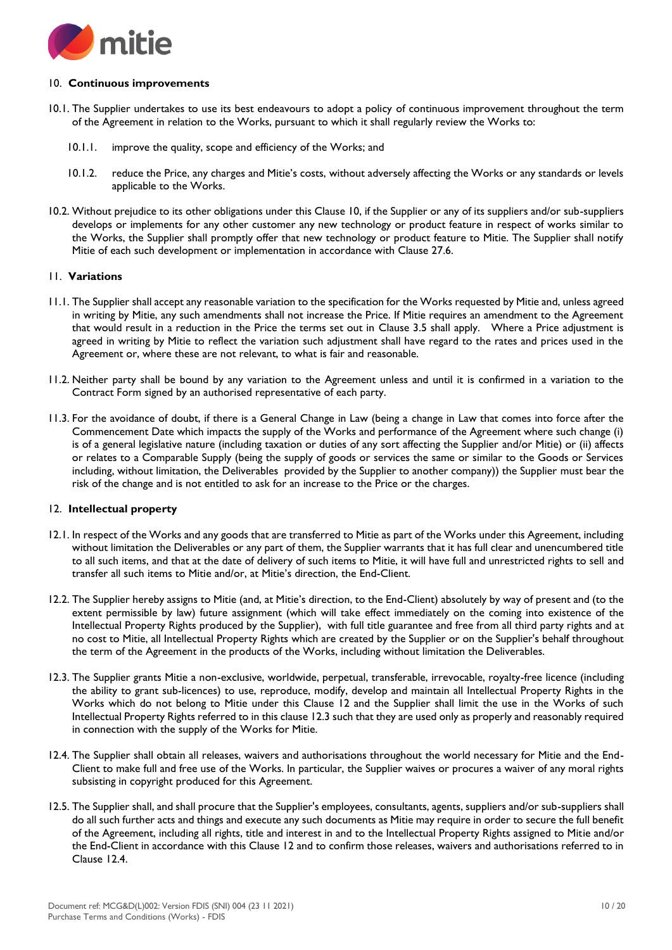

## 10. **Continuous improvements**

- 10.1. The Supplier undertakes to use its best endeavours to adopt a policy of continuous improvement throughout the term of the Agreement in relation to the Works, pursuant to which it shall regularly review the Works to:
	- 10.1.1. improve the quality, scope and efficiency of the Works; and
	- 10.1.2. reduce the Price, any charges and Mitie's costs, without adversely affecting the Works or any standards or levels applicable to the Works.
- 10.2. Without prejudice to its other obligations under this Clause 10, if the Supplier or any of its suppliers and/or sub-suppliers develops or implements for any other customer any new technology or product feature in respect of works similar to the Works, the Supplier shall promptly offer that new technology or product feature to Mitie. The Supplier shall notify Mitie of each such development or implementation in accordance with Clause 27.6.

## 11. **Variations**

- 11.1. The Supplier shall accept any reasonable variation to the specification for the Works requested by Mitie and, unless agreed in writing by Mitie, any such amendments shall not increase the Price. If Mitie requires an amendment to the Agreement that would result in a reduction in the Price the terms set out in Clause 3.5 shall apply. Where a Price adjustment is agreed in writing by Mitie to reflect the variation such adjustment shall have regard to the rates and prices used in the Agreement or, where these are not relevant, to what is fair and reasonable.
- 11.2. Neither party shall be bound by any variation to the Agreement unless and until it is confirmed in a variation to the Contract Form signed by an authorised representative of each party.
- 11.3. For the avoidance of doubt, if there is a General Change in Law (being a change in Law that comes into force after the Commencement Date which impacts the supply of the Works and performance of the Agreement where such change (i) is of a general legislative nature (including taxation or duties of any sort affecting the Supplier and/or Mitie) or (ii) affects or relates to a Comparable Supply (being the supply of goods or services the same or similar to the Goods or Services including, without limitation, the Deliverables provided by the Supplier to another company)) the Supplier must bear the risk of the change and is not entitled to ask for an increase to the Price or the charges.

## 12. **Intellectual property**

- 12.1. In respect of the Works and any goods that are transferred to Mitie as part of the Works under this Agreement, including without limitation the Deliverables or any part of them, the Supplier warrants that it has full clear and unencumbered title to all such items, and that at the date of delivery of such items to Mitie, it will have full and unrestricted rights to sell and transfer all such items to Mitie and/or, at Mitie's direction, the End-Client.
- 12.2. The Supplier hereby assigns to Mitie (and, at Mitie's direction, to the End-Client) absolutely by way of present and (to the extent permissible by law) future assignment (which will take effect immediately on the coming into existence of the Intellectual Property Rights produced by the Supplier), with full title guarantee and free from all third party rights and at no cost to Mitie, all Intellectual Property Rights which are created by the Supplier or on the Supplier's behalf throughout the term of the Agreement in the products of the Works, including without limitation the Deliverables.
- 12.3. The Supplier grants Mitie a non-exclusive, worldwide, perpetual, transferable, irrevocable, royalty-free licence (including the ability to grant sub-licences) to use, reproduce, modify, develop and maintain all Intellectual Property Rights in the Works which do not belong to Mitie under this Clause 12 and the Supplier shall limit the use in the Works of such Intellectual Property Rights referred to in this clause 12.3 such that they are used only as properly and reasonably required in connection with the supply of the Works for Mitie.
- 12.4. The Supplier shall obtain all releases, waivers and authorisations throughout the world necessary for Mitie and the End-Client to make full and free use of the Works. In particular, the Supplier waives or procures a waiver of any moral rights subsisting in copyright produced for this Agreement.
- 12.5. The Supplier shall, and shall procure that the Supplier's employees, consultants, agents, suppliers and/or sub-suppliers shall do all such further acts and things and execute any such documents as Mitie may require in order to secure the full benefit of the Agreement, including all rights, title and interest in and to the Intellectual Property Rights assigned to Mitie and/or the End-Client in accordance with this Clause 12 and to confirm those releases, waivers and authorisations referred to in Clause 12.4.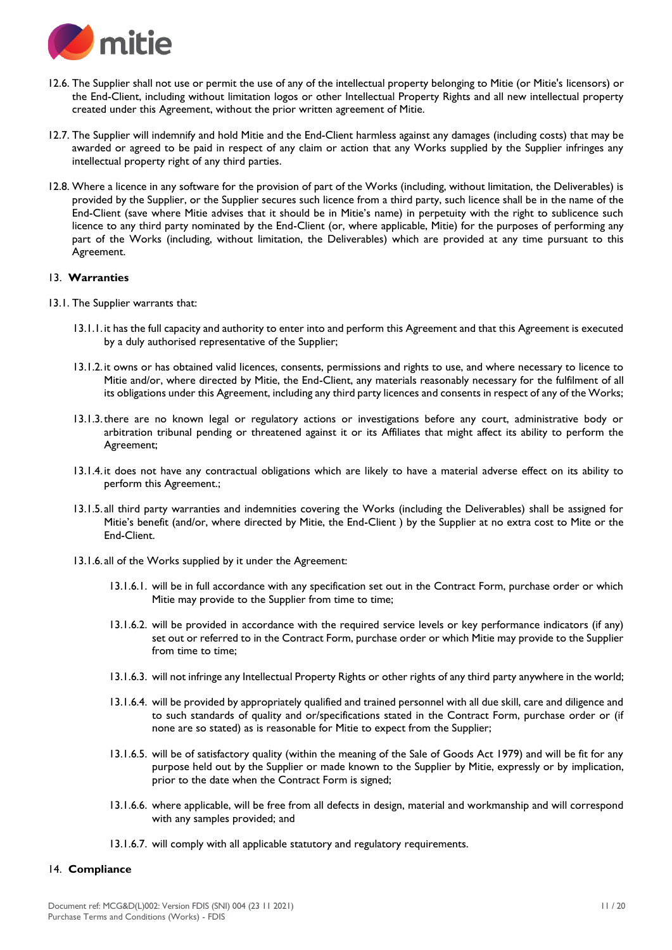

- 12.6. The Supplier shall not use or permit the use of any of the intellectual property belonging to Mitie (or Mitie's licensors) or the End-Client, including without limitation logos or other Intellectual Property Rights and all new intellectual property created under this Agreement, without the prior written agreement of Mitie.
- 12.7. The Supplier will indemnify and hold Mitie and the End-Client harmless against any damages (including costs) that may be awarded or agreed to be paid in respect of any claim or action that any Works supplied by the Supplier infringes any intellectual property right of any third parties.
- 12.8. Where a licence in any software for the provision of part of the Works (including, without limitation, the Deliverables) is provided by the Supplier, or the Supplier secures such licence from a third party, such licence shall be in the name of the End-Client (save where Mitie advises that it should be in Mitie's name) in perpetuity with the right to sublicence such licence to any third party nominated by the End-Client (or, where applicable, Mitie) for the purposes of performing any part of the Works (including, without limitation, the Deliverables) which are provided at any time pursuant to this Agreement.

#### 13. **Warranties**

- 13.1. The Supplier warrants that:
	- 13.1.1. it has the full capacity and authority to enter into and perform this Agreement and that this Agreement is executed by a duly authorised representative of the Supplier;
	- 13.1.2. it owns or has obtained valid licences, consents, permissions and rights to use, and where necessary to licence to Mitie and/or, where directed by Mitie, the End-Client, any materials reasonably necessary for the fulfilment of all its obligations under this Agreement, including any third party licences and consents in respect of any of the Works;
	- 13.1.3.there are no known legal or regulatory actions or investigations before any court, administrative body or arbitration tribunal pending or threatened against it or its Affiliates that might affect its ability to perform the Agreement;
	- 13.1.4. it does not have any contractual obligations which are likely to have a material adverse effect on its ability to perform this Agreement.;
	- 13.1.5. all third party warranties and indemnities covering the Works (including the Deliverables) shall be assigned for Mitie's benefit (and/or, where directed by Mitie, the End-Client ) by the Supplier at no extra cost to Mite or the End-Client.
	- 13.1.6. all of the Works supplied by it under the Agreement:
		- 13.1.6.1. will be in full accordance with any specification set out in the Contract Form, purchase order or which Mitie may provide to the Supplier from time to time;
		- 13.1.6.2. will be provided in accordance with the required service levels or key performance indicators (if any) set out or referred to in the Contract Form, purchase order or which Mitie may provide to the Supplier from time to time;
		- 13.1.6.3. will not infringe any Intellectual Property Rights or other rights of any third party anywhere in the world;
		- 13.1.6.4. will be provided by appropriately qualified and trained personnel with all due skill, care and diligence and to such standards of quality and or/specifications stated in the Contract Form, purchase order or (if none are so stated) as is reasonable for Mitie to expect from the Supplier;
		- 13.1.6.5. will be of satisfactory quality (within the meaning of the Sale of Goods Act 1979) and will be fit for any purpose held out by the Supplier or made known to the Supplier by Mitie, expressly or by implication, prior to the date when the Contract Form is signed;
		- 13.1.6.6. where applicable, will be free from all defects in design, material and workmanship and will correspond with any samples provided; and
		- 13.1.6.7. will comply with all applicable statutory and regulatory requirements.

## 14. **Compliance**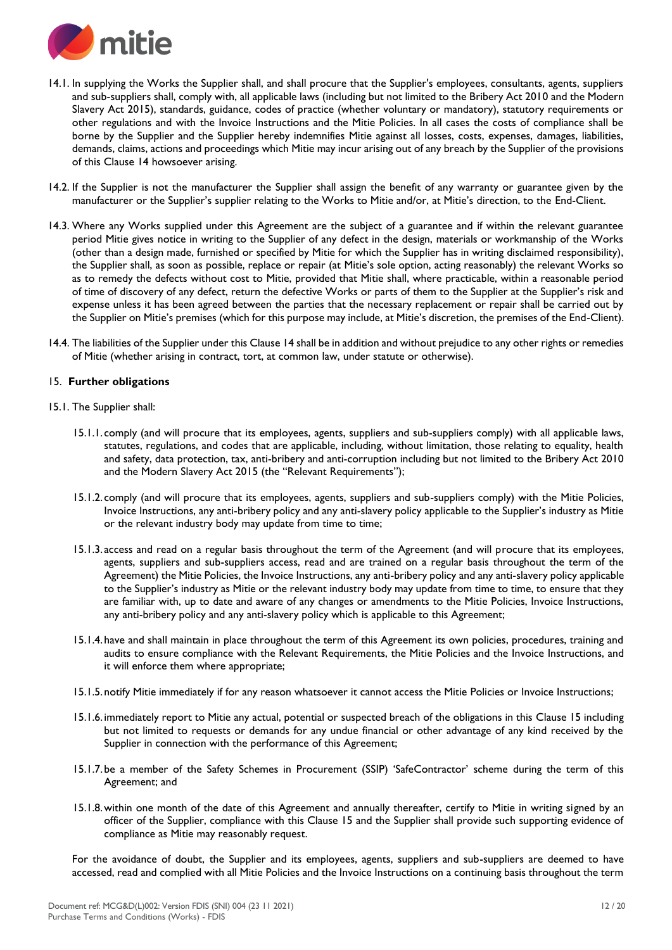

- 14.1. In supplying the Works the Supplier shall, and shall procure that the Supplier's employees, consultants, agents, suppliers and sub-suppliers shall, comply with, all applicable laws (including but not limited to the Bribery Act 2010 and the Modern Slavery Act 2015), standards, guidance, codes of practice (whether voluntary or mandatory), statutory requirements or other regulations and with the Invoice Instructions and the Mitie Policies. In all cases the costs of compliance shall be borne by the Supplier and the Supplier hereby indemnifies Mitie against all losses, costs, expenses, damages, liabilities, demands, claims, actions and proceedings which Mitie may incur arising out of any breach by the Supplier of the provisions of this Clause 14 howsoever arising.
- 14.2. If the Supplier is not the manufacturer the Supplier shall assign the benefit of any warranty or guarantee given by the manufacturer or the Supplier's supplier relating to the Works to Mitie and/or, at Mitie's direction, to the End-Client.
- 14.3. Where any Works supplied under this Agreement are the subject of a guarantee and if within the relevant guarantee period Mitie gives notice in writing to the Supplier of any defect in the design, materials or workmanship of the Works (other than a design made, furnished or specified by Mitie for which the Supplier has in writing disclaimed responsibility), the Supplier shall, as soon as possible, replace or repair (at Mitie's sole option, acting reasonably) the relevant Works so as to remedy the defects without cost to Mitie, provided that Mitie shall, where practicable, within a reasonable period of time of discovery of any defect, return the defective Works or parts of them to the Supplier at the Supplier's risk and expense unless it has been agreed between the parties that the necessary replacement or repair shall be carried out by the Supplier on Mitie's premises (which for this purpose may include, at Mitie's discretion, the premises of the End-Client).
- 14.4. The liabilities of the Supplier under this Clause 14 shall be in addition and without prejudice to any other rights or remedies of Mitie (whether arising in contract, tort, at common law, under statute or otherwise).

## 15. **Further obligations**

- 15.1. The Supplier shall:
	- 15.1.1. comply (and will procure that its employees, agents, suppliers and sub-suppliers comply) with all applicable laws, statutes, regulations, and codes that are applicable, including, without limitation, those relating to equality, health and safety, data protection, tax, anti-bribery and anti-corruption including but not limited to the Bribery Act 2010 and the Modern Slavery Act 2015 (the "Relevant Requirements");
	- 15.1.2. comply (and will procure that its employees, agents, suppliers and sub-suppliers comply) with the Mitie Policies, Invoice Instructions, any anti-bribery policy and any anti-slavery policy applicable to the Supplier's industry as Mitie or the relevant industry body may update from time to time;
	- 15.1.3. access and read on a regular basis throughout the term of the Agreement (and will procure that its employees, agents, suppliers and sub-suppliers access, read and are trained on a regular basis throughout the term of the Agreement) the Mitie Policies, the Invoice Instructions, any anti-bribery policy and any anti-slavery policy applicable to the Supplier's industry as Mitie or the relevant industry body may update from time to time, to ensure that they are familiar with, up to date and aware of any changes or amendments to the Mitie Policies, Invoice Instructions, any anti-bribery policy and any anti-slavery policy which is applicable to this Agreement;
	- 15.1.4.have and shall maintain in place throughout the term of this Agreement its own policies, procedures, training and audits to ensure compliance with the Relevant Requirements, the Mitie Policies and the Invoice Instructions, and it will enforce them where appropriate;
	- 15.1.5.notify Mitie immediately if for any reason whatsoever it cannot access the Mitie Policies or Invoice Instructions;
	- 15.1.6. immediately report to Mitie any actual, potential or suspected breach of the obligations in this Clause 15 including but not limited to requests or demands for any undue financial or other advantage of any kind received by the Supplier in connection with the performance of this Agreement;
	- 15.1.7.be a member of the Safety Schemes in Procurement (SSIP) 'SafeContractor' scheme during the term of this Agreement; and
	- 15.1.8.within one month of the date of this Agreement and annually thereafter, certify to Mitie in writing signed by an officer of the Supplier, compliance with this Clause 15 and the Supplier shall provide such supporting evidence of compliance as Mitie may reasonably request.

For the avoidance of doubt, the Supplier and its employees, agents, suppliers and sub-suppliers are deemed to have accessed, read and complied with all Mitie Policies and the Invoice Instructions on a continuing basis throughout the term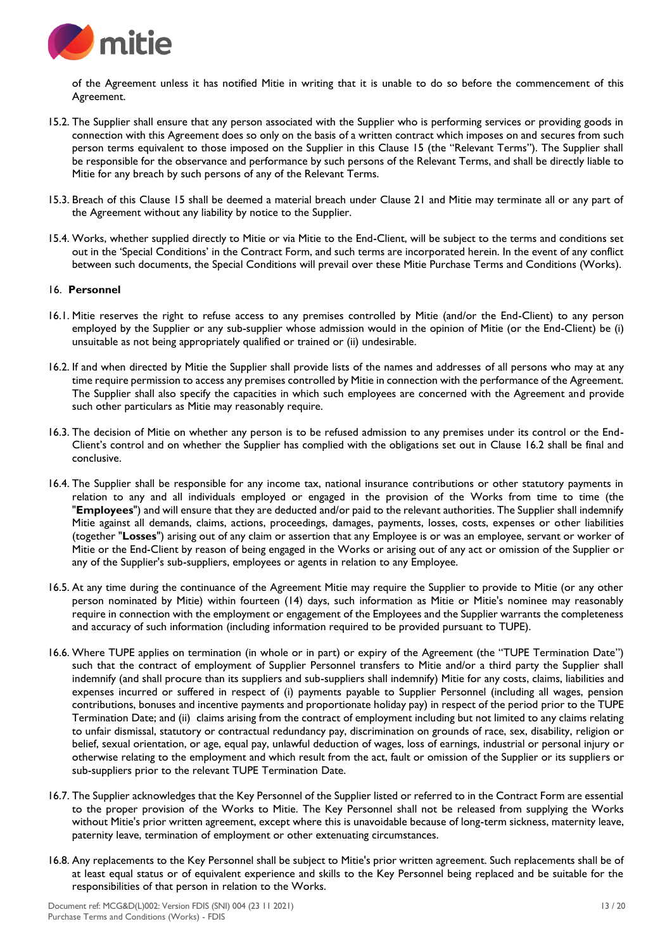

of the Agreement unless it has notified Mitie in writing that it is unable to do so before the commencement of this Agreement.

- 15.2. The Supplier shall ensure that any person associated with the Supplier who is performing services or providing goods in connection with this Agreement does so only on the basis of a written contract which imposes on and secures from such person terms equivalent to those imposed on the Supplier in this Clause 15 (the "Relevant Terms"). The Supplier shall be responsible for the observance and performance by such persons of the Relevant Terms, and shall be directly liable to Mitie for any breach by such persons of any of the Relevant Terms.
- 15.3. Breach of this Clause 15 shall be deemed a material breach under Clause 21 and Mitie may terminate all or any part of the Agreement without any liability by notice to the Supplier.
- 15.4. Works, whether supplied directly to Mitie or via Mitie to the End-Client, will be subject to the terms and conditions set out in the 'Special Conditions' in the Contract Form, and such terms are incorporated herein. In the event of any conflict between such documents, the Special Conditions will prevail over these Mitie Purchase Terms and Conditions (Works).

#### 16. **Personnel**

- 16.1. Mitie reserves the right to refuse access to any premises controlled by Mitie (and/or the End-Client) to any person employed by the Supplier or any sub-supplier whose admission would in the opinion of Mitie (or the End-Client) be (i) unsuitable as not being appropriately qualified or trained or (ii) undesirable.
- 16.2. If and when directed by Mitie the Supplier shall provide lists of the names and addresses of all persons who may at any time require permission to access any premises controlled by Mitie in connection with the performance of the Agreement. The Supplier shall also specify the capacities in which such employees are concerned with the Agreement and provide such other particulars as Mitie may reasonably require.
- 16.3. The decision of Mitie on whether any person is to be refused admission to any premises under its control or the End-Client's control and on whether the Supplier has complied with the obligations set out in Clause 16.2 shall be final and conclusive.
- 16.4. The Supplier shall be responsible for any income tax, national insurance contributions or other statutory payments in relation to any and all individuals employed or engaged in the provision of the Works from time to time (the "**Employees**") and will ensure that they are deducted and/or paid to the relevant authorities. The Supplier shall indemnify Mitie against all demands, claims, actions, proceedings, damages, payments, losses, costs, expenses or other liabilities (together "**Losses**") arising out of any claim or assertion that any Employee is or was an employee, servant or worker of Mitie or the End-Client by reason of being engaged in the Works or arising out of any act or omission of the Supplier or any of the Supplier's sub-suppliers, employees or agents in relation to any Employee.
- 16.5. At any time during the continuance of the Agreement Mitie may require the Supplier to provide to Mitie (or any other person nominated by Mitie) within fourteen (14) days, such information as Mitie or Mitie's nominee may reasonably require in connection with the employment or engagement of the Employees and the Supplier warrants the completeness and accuracy of such information (including information required to be provided pursuant to TUPE).
- 16.6. Where TUPE applies on termination (in whole or in part) or expiry of the Agreement (the "TUPE Termination Date") such that the contract of employment of Supplier Personnel transfers to Mitie and/or a third party the Supplier shall indemnify (and shall procure than its suppliers and sub-suppliers shall indemnify) Mitie for any costs, claims, liabilities and expenses incurred or suffered in respect of (i) payments payable to Supplier Personnel (including all wages, pension contributions, bonuses and incentive payments and proportionate holiday pay) in respect of the period prior to the TUPE Termination Date; and (ii) claims arising from the contract of employment including but not limited to any claims relating to unfair dismissal, statutory or contractual redundancy pay, discrimination on grounds of race, sex, disability, religion or belief, sexual orientation, or age, equal pay, unlawful deduction of wages, loss of earnings, industrial or personal injury or otherwise relating to the employment and which result from the act, fault or omission of the Supplier or its suppliers or sub-suppliers prior to the relevant TUPE Termination Date.
- 16.7. The Supplier acknowledges that the Key Personnel of the Supplier listed or referred to in the Contract Form are essential to the proper provision of the Works to Mitie. The Key Personnel shall not be released from supplying the Works without Mitie's prior written agreement, except where this is unavoidable because of long-term sickness, maternity leave, paternity leave, termination of employment or other extenuating circumstances.
- 16.8. Any replacements to the Key Personnel shall be subject to Mitie's prior written agreement. Such replacements shall be of at least equal status or of equivalent experience and skills to the Key Personnel being replaced and be suitable for the responsibilities of that person in relation to the Works.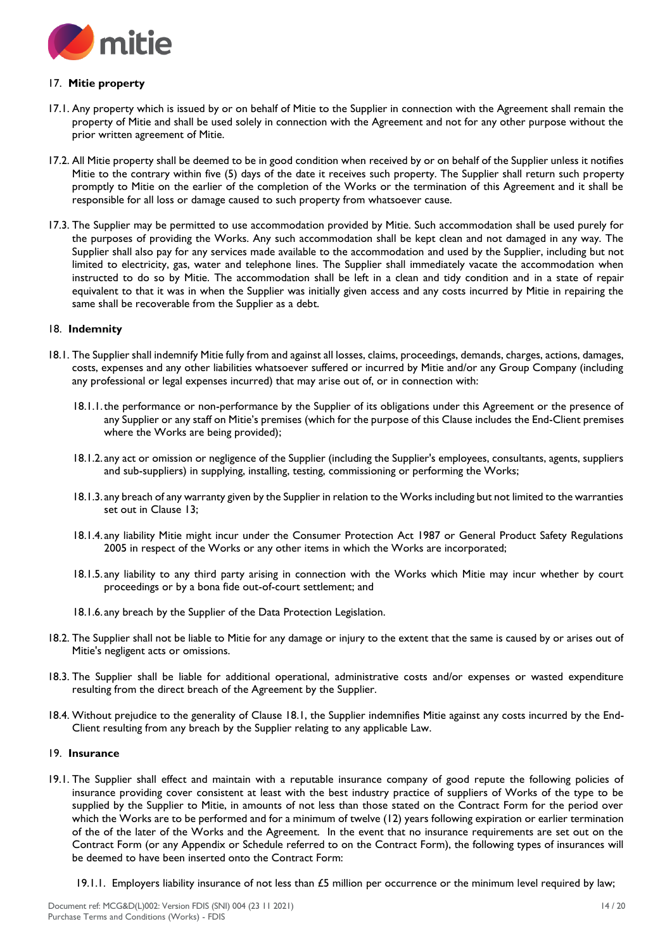

# 17. **Mitie property**

- 17.1. Any property which is issued by or on behalf of Mitie to the Supplier in connection with the Agreement shall remain the property of Mitie and shall be used solely in connection with the Agreement and not for any other purpose without the prior written agreement of Mitie.
- 17.2. All Mitie property shall be deemed to be in good condition when received by or on behalf of the Supplier unless it notifies Mitie to the contrary within five (5) days of the date it receives such property. The Supplier shall return such property promptly to Mitie on the earlier of the completion of the Works or the termination of this Agreement and it shall be responsible for all loss or damage caused to such property from whatsoever cause.
- 17.3. The Supplier may be permitted to use accommodation provided by Mitie. Such accommodation shall be used purely for the purposes of providing the Works. Any such accommodation shall be kept clean and not damaged in any way. The Supplier shall also pay for any services made available to the accommodation and used by the Supplier, including but not limited to electricity, gas, water and telephone lines. The Supplier shall immediately vacate the accommodation when instructed to do so by Mitie. The accommodation shall be left in a clean and tidy condition and in a state of repair equivalent to that it was in when the Supplier was initially given access and any costs incurred by Mitie in repairing the same shall be recoverable from the Supplier as a debt.

## 18. **Indemnity**

- 18.1. The Supplier shall indemnify Mitie fully from and against all losses, claims, proceedings, demands, charges, actions, damages, costs, expenses and any other liabilities whatsoever suffered or incurred by Mitie and/or any Group Company (including any professional or legal expenses incurred) that may arise out of, or in connection with:
	- 18.1.1.the performance or non-performance by the Supplier of its obligations under this Agreement or the presence of any Supplier or any staff on Mitie's premises (which for the purpose of this Clause includes the End-Client premises where the Works are being provided);
	- 18.1.2. any act or omission or negligence of the Supplier (including the Supplier's employees, consultants, agents, suppliers and sub-suppliers) in supplying, installing, testing, commissioning or performing the Works;
	- 18.1.3. any breach of any warranty given by the Supplier in relation to the Works including but not limited to the warranties set out in Clause 13;
	- 18.1.4. any liability Mitie might incur under the Consumer Protection Act 1987 or General Product Safety Regulations 2005 in respect of the Works or any other items in which the Works are incorporated;
	- 18.1.5. any liability to any third party arising in connection with the Works which Mitie may incur whether by court proceedings or by a bona fide out-of-court settlement; and
	- 18.1.6. any breach by the Supplier of the Data Protection Legislation.
- 18.2. The Supplier shall not be liable to Mitie for any damage or injury to the extent that the same is caused by or arises out of Mitie's negligent acts or omissions.
- 18.3. The Supplier shall be liable for additional operational, administrative costs and/or expenses or wasted expenditure resulting from the direct breach of the Agreement by the Supplier.
- 18.4. Without prejudice to the generality of Clause 18.1, the Supplier indemnifies Mitie against any costs incurred by the End-Client resulting from any breach by the Supplier relating to any applicable Law.

#### 19. **Insurance**

- 19.1. The Supplier shall effect and maintain with a reputable insurance company of good repute the following policies of insurance providing cover consistent at least with the best industry practice of suppliers of Works of the type to be supplied by the Supplier to Mitie, in amounts of not less than those stated on the Contract Form for the period over which the Works are to be performed and for a minimum of twelve (12) years following expiration or earlier termination of the of the later of the Works and the Agreement. In the event that no insurance requirements are set out on the Contract Form (or any Appendix or Schedule referred to on the Contract Form), the following types of insurances will be deemed to have been inserted onto the Contract Form:
	- 19.1.1. Employers liability insurance of not less than  $£5$  million per occurrence or the minimum level required by law;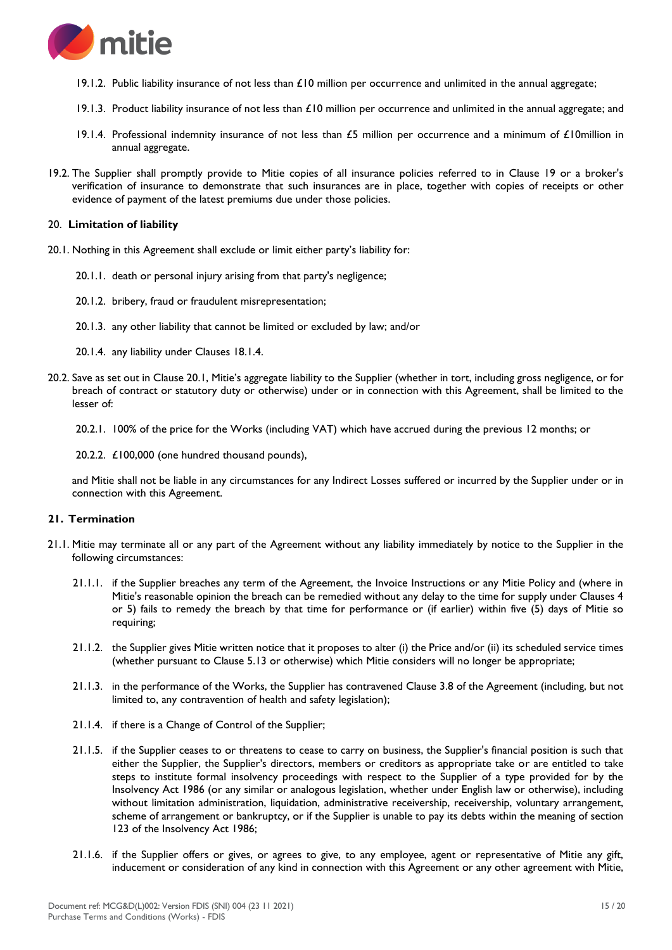

- 19.1.2. Public liability insurance of not less than  $£10$  million per occurrence and unlimited in the annual aggregate;
- 19.1.3. Product liability insurance of not less than £10 million per occurrence and unlimited in the annual aggregate; and
- 19.1.4. Professional indemnity insurance of not less than £5 million per occurrence and a minimum of £10million in annual aggregate.
- 19.2. The Supplier shall promptly provide to Mitie copies of all insurance policies referred to in Clause 19 or a broker's verification of insurance to demonstrate that such insurances are in place, together with copies of receipts or other evidence of payment of the latest premiums due under those policies.

#### 20. **Limitation of liability**

- 20.1. Nothing in this Agreement shall exclude or limit either party's liability for:
	- 20.1.1. death or personal injury arising from that party's negligence;
	- 20.1.2. bribery, fraud or fraudulent misrepresentation;
	- 20.1.3. any other liability that cannot be limited or excluded by law; and/or
	- 20.1.4. any liability under Clauses 18.1.4.
- 20.2. Save as set out in Clause 20.1, Mitie's aggregate liability to the Supplier (whether in tort, including gross negligence, or for breach of contract or statutory duty or otherwise) under or in connection with this Agreement, shall be limited to the lesser of:
	- 20.2.1. 100% of the price for the Works (including VAT) which have accrued during the previous 12 months; or
	- 20.2.2. £100,000 (one hundred thousand pounds),

and Mitie shall not be liable in any circumstances for any Indirect Losses suffered or incurred by the Supplier under or in connection with this Agreement.

## **21. Termination**

- 21.1. Mitie may terminate all or any part of the Agreement without any liability immediately by notice to the Supplier in the following circumstances:
	- 21.1.1. if the Supplier breaches any term of the Agreement, the Invoice Instructions or any Mitie Policy and (where in Mitie's reasonable opinion the breach can be remedied without any delay to the time for supply under Clauses 4 or 5) fails to remedy the breach by that time for performance or (if earlier) within five (5) days of Mitie so requiring;
	- 21.1.2. the Supplier gives Mitie written notice that it proposes to alter (i) the Price and/or (ii) its scheduled service times (whether pursuant to Clause 5.13 or otherwise) which Mitie considers will no longer be appropriate;
	- 21.1.3. in the performance of the Works, the Supplier has contravened Clause 3.8 of the Agreement (including, but not limited to, any contravention of health and safety legislation);
	- 21.1.4. if there is a Change of Control of the Supplier;
	- 21.1.5. if the Supplier ceases to or threatens to cease to carry on business, the Supplier's financial position is such that either the Supplier, the Supplier's directors, members or creditors as appropriate take or are entitled to take steps to institute formal insolvency proceedings with respect to the Supplier of a type provided for by the Insolvency Act 1986 (or any similar or analogous legislation, whether under English law or otherwise), including without limitation administration, liquidation, administrative receivership, receivership, voluntary arrangement, scheme of arrangement or bankruptcy, or if the Supplier is unable to pay its debts within the meaning of section 123 of the Insolvency Act 1986;
	- 21.1.6. if the Supplier offers or gives, or agrees to give, to any employee, agent or representative of Mitie any gift, inducement or consideration of any kind in connection with this Agreement or any other agreement with Mitie,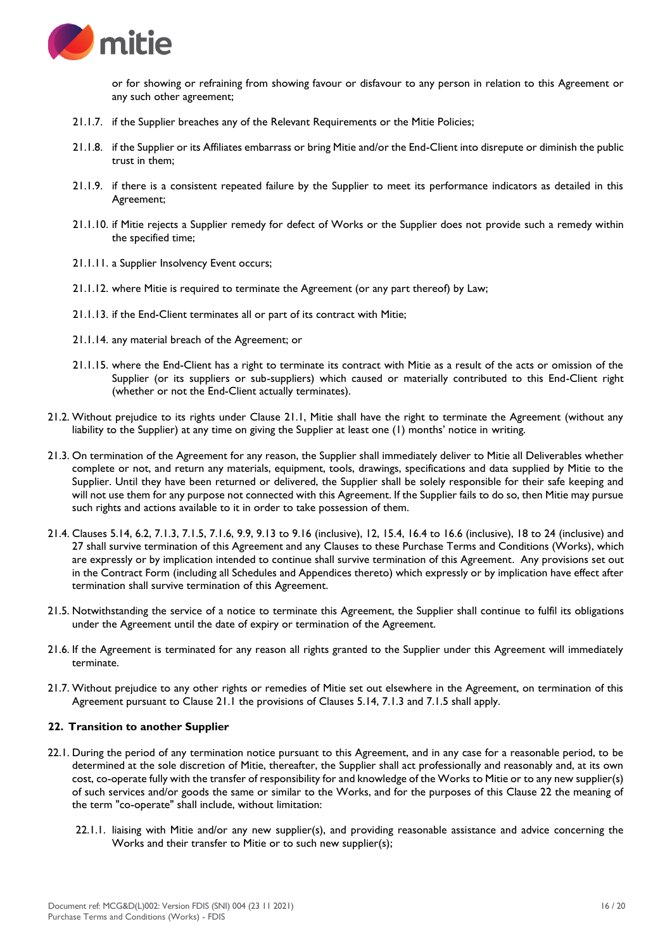

or for showing or refraining from showing favour or disfavour to any person in relation to this Agreement or any such other agreement;

- 21.1.7. if the Supplier breaches any of the Relevant Requirements or the Mitie Policies;
- 21.1.8. if the Supplier or its Affiliates embarrass or bring Mitie and/or the End-Client into disrepute or diminish the public trust in them;
- 21.1.9. if there is a consistent repeated failure by the Supplier to meet its performance indicators as detailed in this Agreement;
- 21.1.10. if Mitie rejects a Supplier remedy for defect of Works or the Supplier does not provide such a remedy within the specified time;
- 21.1.11. a Supplier Insolvency Event occurs;
- 21.1.12. where Mitie is required to terminate the Agreement (or any part thereof) by Law;
- 21.1.13. if the End-Client terminates all or part of its contract with Mitie;
- 21.1.14. any material breach of the Agreement; or
- 21.1.15. where the End-Client has a right to terminate its contract with Mitie as a result of the acts or omission of the Supplier (or its suppliers or sub-suppliers) which caused or materially contributed to this End-Client right (whether or not the End-Client actually terminates).
- 21.2. Without prejudice to its rights under Clause 21.1, Mitie shall have the right to terminate the Agreement (without any liability to the Supplier) at any time on giving the Supplier at least one (1) months' notice in writing.
- 21.3. On termination of the Agreement for any reason, the Supplier shall immediately deliver to Mitie all Deliverables whether complete or not, and return any materials, equipment, tools, drawings, specifications and data supplied by Mitie to the Supplier. Until they have been returned or delivered, the Supplier shall be solely responsible for their safe keeping and will not use them for any purpose not connected with this Agreement. If the Supplier fails to do so, then Mitie may pursue such rights and actions available to it in order to take possession of them.
- 21.4. Clauses 5.14, 6.2, 7.1.3, 7.1.5, 7.1.6, 9.9, 9.13 to 9.16 (inclusive), 12, 15.4, 16.4 to 16.6 (inclusive), 18 to 24 (inclusive) and 27 shall survive termination of this Agreement and any Clauses to these Purchase Terms and Conditions (Works), which are expressly or by implication intended to continue shall survive termination of this Agreement. Any provisions set out in the Contract Form (including all Schedules and Appendices thereto) which expressly or by implication have effect after termination shall survive termination of this Agreement.
- 21.5. Notwithstanding the service of a notice to terminate this Agreement, the Supplier shall continue to fulfil its obligations under the Agreement until the date of expiry or termination of the Agreement.
- 21.6. If the Agreement is terminated for any reason all rights granted to the Supplier under this Agreement will immediately terminate.
- 21.7. Without prejudice to any other rights or remedies of Mitie set out elsewhere in the Agreement, on termination of this Agreement pursuant to Clause 21.1 the provisions of Clauses 5.14, 7.1.3 and 7.1.5 shall apply.

## **22. Transition to another Supplier**

- 22.1. During the period of any termination notice pursuant to this Agreement, and in any case for a reasonable period, to be determined at the sole discretion of Mitie, thereafter, the Supplier shall act professionally and reasonably and, at its own cost, co-operate fully with the transfer of responsibility for and knowledge of the Works to Mitie or to any new supplier(s) of such services and/or goods the same or similar to the Works, and for the purposes of this Clause 22 the meaning of the term "co-operate" shall include, without limitation:
	- 22.1.1. liaising with Mitie and/or any new supplier(s), and providing reasonable assistance and advice concerning the Works and their transfer to Mitie or to such new supplier(s);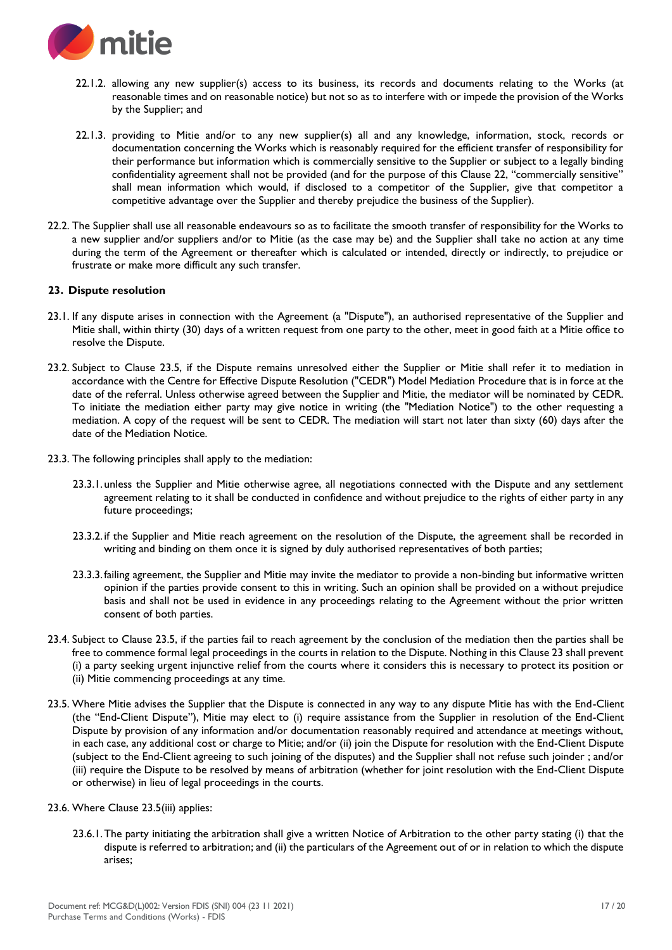

- 22.1.2. allowing any new supplier(s) access to its business, its records and documents relating to the Works (at reasonable times and on reasonable notice) but not so as to interfere with or impede the provision of the Works by the Supplier; and
- 22.1.3. providing to Mitie and/or to any new supplier(s) all and any knowledge, information, stock, records or documentation concerning the Works which is reasonably required for the efficient transfer of responsibility for their performance but information which is commercially sensitive to the Supplier or subject to a legally binding confidentiality agreement shall not be provided (and for the purpose of this Clause 22, "commercially sensitive" shall mean information which would, if disclosed to a competitor of the Supplier, give that competitor a competitive advantage over the Supplier and thereby prejudice the business of the Supplier).
- 22.2. The Supplier shall use all reasonable endeavours so as to facilitate the smooth transfer of responsibility for the Works to a new supplier and/or suppliers and/or to Mitie (as the case may be) and the Supplier shall take no action at any time during the term of the Agreement or thereafter which is calculated or intended, directly or indirectly, to prejudice or frustrate or make more difficult any such transfer.

## **23. Dispute resolution**

- 23.1. If any dispute arises in connection with the Agreement (a "Dispute"), an authorised representative of the Supplier and Mitie shall, within thirty (30) days of a written request from one party to the other, meet in good faith at a Mitie office to resolve the Dispute.
- 23.2. Subject to Clause 23.5, if the Dispute remains unresolved either the Supplier or Mitie shall refer it to mediation in accordance with the Centre for Effective Dispute Resolution ("CEDR") Model Mediation Procedure that is in force at the date of the referral. Unless otherwise agreed between the Supplier and Mitie, the mediator will be nominated by CEDR. To initiate the mediation either party may give notice in writing (the "Mediation Notice") to the other requesting a mediation. A copy of the request will be sent to CEDR. The mediation will start not later than sixty (60) days after the date of the Mediation Notice.
- 23.3. The following principles shall apply to the mediation:
	- 23.3.1.unless the Supplier and Mitie otherwise agree, all negotiations connected with the Dispute and any settlement agreement relating to it shall be conducted in confidence and without prejudice to the rights of either party in any future proceedings;
	- 23.3.2. if the Supplier and Mitie reach agreement on the resolution of the Dispute, the agreement shall be recorded in writing and binding on them once it is signed by duly authorised representatives of both parties;
	- 23.3.3.failing agreement, the Supplier and Mitie may invite the mediator to provide a non-binding but informative written opinion if the parties provide consent to this in writing. Such an opinion shall be provided on a without prejudice basis and shall not be used in evidence in any proceedings relating to the Agreement without the prior written consent of both parties.
- 23.4. Subject to Clause 23.5, if the parties fail to reach agreement by the conclusion of the mediation then the parties shall be free to commence formal legal proceedings in the courts in relation to the Dispute. Nothing in this Clause 23 shall prevent (i) a party seeking urgent injunctive relief from the courts where it considers this is necessary to protect its position or (ii) Mitie commencing proceedings at any time.
- 23.5. Where Mitie advises the Supplier that the Dispute is connected in any way to any dispute Mitie has with the End-Client (the "End-Client Dispute"), Mitie may elect to (i) require assistance from the Supplier in resolution of the End-Client Dispute by provision of any information and/or documentation reasonably required and attendance at meetings without, in each case, any additional cost or charge to Mitie; and/or (ii) join the Dispute for resolution with the End-Client Dispute (subject to the End-Client agreeing to such joining of the disputes) and the Supplier shall not refuse such joinder ; and/or (iii) require the Dispute to be resolved by means of arbitration (whether for joint resolution with the End-Client Dispute or otherwise) in lieu of legal proceedings in the courts.
- 23.6. Where Clause 23.5(iii) applies:
	- 23.6.1.The party initiating the arbitration shall give a written Notice of Arbitration to the other party stating (i) that the dispute is referred to arbitration; and (ii) the particulars of the Agreement out of or in relation to which the dispute arises;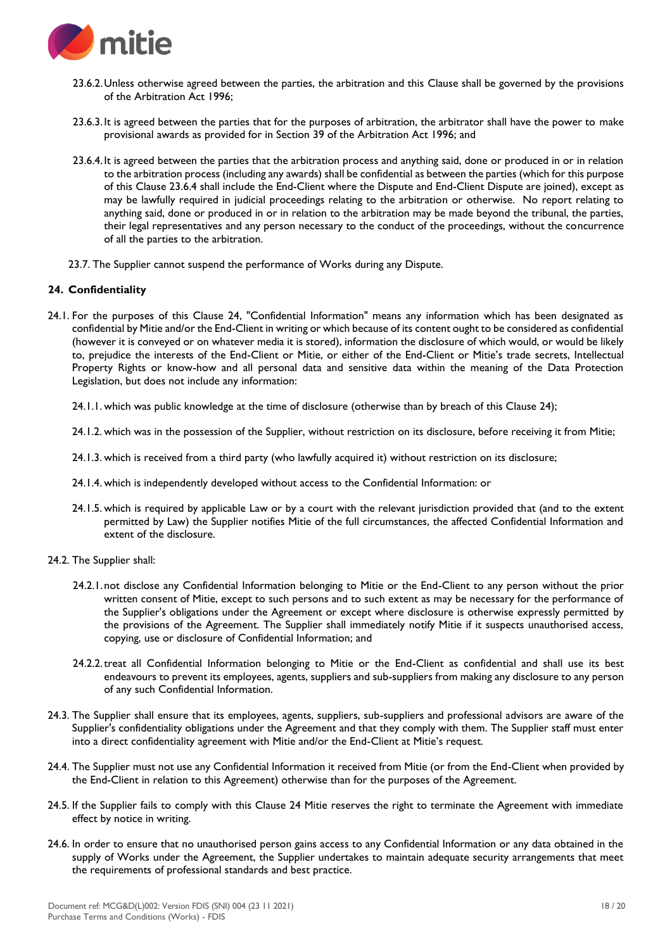

- 23.6.2.Unless otherwise agreed between the parties, the arbitration and this Clause shall be governed by the provisions of the Arbitration Act 1996;
- 23.6.3.It is agreed between the parties that for the purposes of arbitration, the arbitrator shall have the power to make provisional awards as provided for in Section 39 of the Arbitration Act 1996; and
- 23.6.4.It is agreed between the parties that the arbitration process and anything said, done or produced in or in relation to the arbitration process (including any awards) shall be confidential as between the parties (which for this purpose of this Clause 23.6.4 shall include the End-Client where the Dispute and End-Client Dispute are joined), except as may be lawfully required in judicial proceedings relating to the arbitration or otherwise. No report relating to anything said, done or produced in or in relation to the arbitration may be made beyond the tribunal, the parties, their legal representatives and any person necessary to the conduct of the proceedings, without the concurrence of all the parties to the arbitration.
- 23.7. The Supplier cannot suspend the performance of Works during any Dispute.

## **24. Confidentiality**

24.1. For the purposes of this Clause 24, "Confidential Information" means any information which has been designated as confidential by Mitie and/or the End-Client in writing or which because of its content ought to be considered as confidential (however it is conveyed or on whatever media it is stored), information the disclosure of which would, or would be likely to, prejudice the interests of the End-Client or Mitie, or either of the End-Client or Mitie's trade secrets, Intellectual Property Rights or know-how and all personal data and sensitive data within the meaning of the Data Protection Legislation, but does not include any information:

24.1.1. which was public knowledge at the time of disclosure (otherwise than by breach of this Clause 24);

24.1.2. which was in the possession of the Supplier, without restriction on its disclosure, before receiving it from Mitie;

- 24.1.3. which is received from a third party (who lawfully acquired it) without restriction on its disclosure;
- 24.1.4. which is independently developed without access to the Confidential Information: or
- 24.1.5. which is required by applicable Law or by a court with the relevant jurisdiction provided that (and to the extent permitted by Law) the Supplier notifies Mitie of the full circumstances, the affected Confidential Information and extent of the disclosure.
- 24.2. The Supplier shall:
	- 24.2.1.not disclose any Confidential Information belonging to Mitie or the End-Client to any person without the prior written consent of Mitie, except to such persons and to such extent as may be necessary for the performance of the Supplier's obligations under the Agreement or except where disclosure is otherwise expressly permitted by the provisions of the Agreement. The Supplier shall immediately notify Mitie if it suspects unauthorised access, copying, use or disclosure of Confidential Information; and
	- 24.2.2.treat all Confidential Information belonging to Mitie or the End-Client as confidential and shall use its best endeavours to prevent its employees, agents, suppliers and sub-suppliers from making any disclosure to any person of any such Confidential Information.
- 24.3. The Supplier shall ensure that its employees, agents, suppliers, sub-suppliers and professional advisors are aware of the Supplier's confidentiality obligations under the Agreement and that they comply with them. The Supplier staff must enter into a direct confidentiality agreement with Mitie and/or the End-Client at Mitie's request.
- 24.4. The Supplier must not use any Confidential Information it received from Mitie (or from the End-Client when provided by the End-Client in relation to this Agreement) otherwise than for the purposes of the Agreement.
- 24.5. If the Supplier fails to comply with this Clause 24 Mitie reserves the right to terminate the Agreement with immediate effect by notice in writing.
- 24.6. In order to ensure that no unauthorised person gains access to any Confidential Information or any data obtained in the supply of Works under the Agreement, the Supplier undertakes to maintain adequate security arrangements that meet the requirements of professional standards and best practice.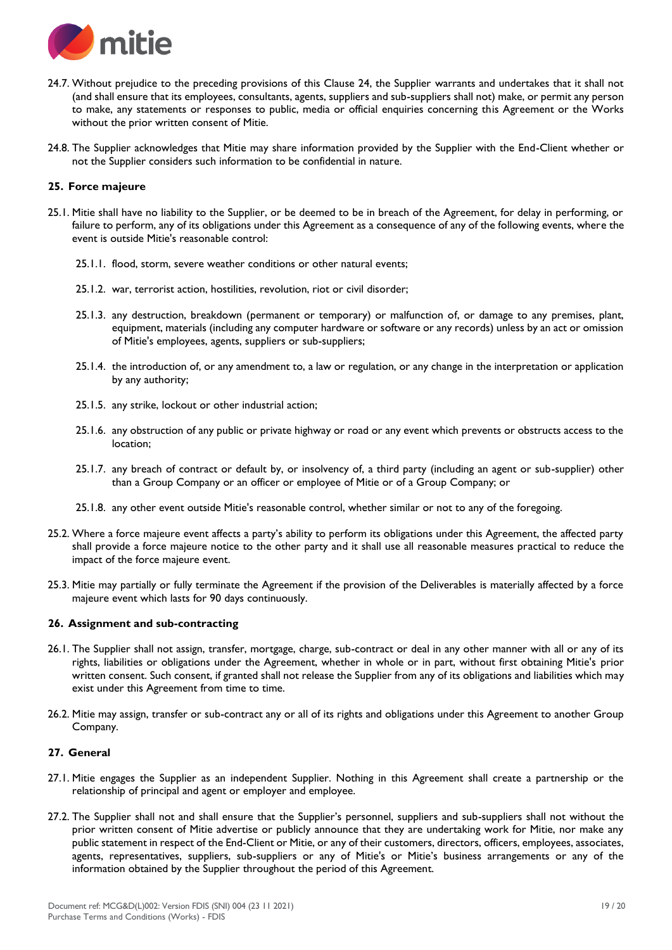

- 24.7. Without prejudice to the preceding provisions of this Clause 24, the Supplier warrants and undertakes that it shall not (and shall ensure that its employees, consultants, agents, suppliers and sub-suppliers shall not) make, or permit any person to make, any statements or responses to public, media or official enquiries concerning this Agreement or the Works without the prior written consent of Mitie.
- 24.8. The Supplier acknowledges that Mitie may share information provided by the Supplier with the End-Client whether or not the Supplier considers such information to be confidential in nature.

#### **25. Force majeure**

- 25.1. Mitie shall have no liability to the Supplier, or be deemed to be in breach of the Agreement, for delay in performing, or failure to perform, any of its obligations under this Agreement as a consequence of any of the following events, where the event is outside Mitie's reasonable control:
	- 25.1.1. flood, storm, severe weather conditions or other natural events;
	- 25.1.2. war, terrorist action, hostilities, revolution, riot or civil disorder;
	- 25.1.3. any destruction, breakdown (permanent or temporary) or malfunction of, or damage to any premises, plant, equipment, materials (including any computer hardware or software or any records) unless by an act or omission of Mitie's employees, agents, suppliers or sub-suppliers;
	- 25.1.4. the introduction of, or any amendment to, a law or regulation, or any change in the interpretation or application by any authority;
	- 25.1.5. any strike, lockout or other industrial action;
	- 25.1.6. any obstruction of any public or private highway or road or any event which prevents or obstructs access to the location;
	- 25.1.7. any breach of contract or default by, or insolvency of, a third party (including an agent or sub-supplier) other than a Group Company or an officer or employee of Mitie or of a Group Company; or
	- 25.1.8. any other event outside Mitie's reasonable control, whether similar or not to any of the foregoing.
- 25.2. Where a force majeure event affects a party's ability to perform its obligations under this Agreement, the affected party shall provide a force majeure notice to the other party and it shall use all reasonable measures practical to reduce the impact of the force majeure event.
- 25.3. Mitie may partially or fully terminate the Agreement if the provision of the Deliverables is materially affected by a force majeure event which lasts for 90 days continuously.

## **26. Assignment and sub-contracting**

- 26.1. The Supplier shall not assign, transfer, mortgage, charge, sub-contract or deal in any other manner with all or any of its rights, liabilities or obligations under the Agreement, whether in whole or in part, without first obtaining Mitie's prior written consent. Such consent, if granted shall not release the Supplier from any of its obligations and liabilities which may exist under this Agreement from time to time.
- 26.2. Mitie may assign, transfer or sub-contract any or all of its rights and obligations under this Agreement to another Group Company.

#### **27. General**

- 27.1. Mitie engages the Supplier as an independent Supplier. Nothing in this Agreement shall create a partnership or the relationship of principal and agent or employer and employee.
- 27.2. The Supplier shall not and shall ensure that the Supplier's personnel, suppliers and sub-suppliers shall not without the prior written consent of Mitie advertise or publicly announce that they are undertaking work for Mitie, nor make any public statement in respect of the End-Client or Mitie, or any of their customers, directors, officers, employees, associates, agents, representatives, suppliers, sub-suppliers or any of Mitie's or Mitie's business arrangements or any of the information obtained by the Supplier throughout the period of this Agreement.